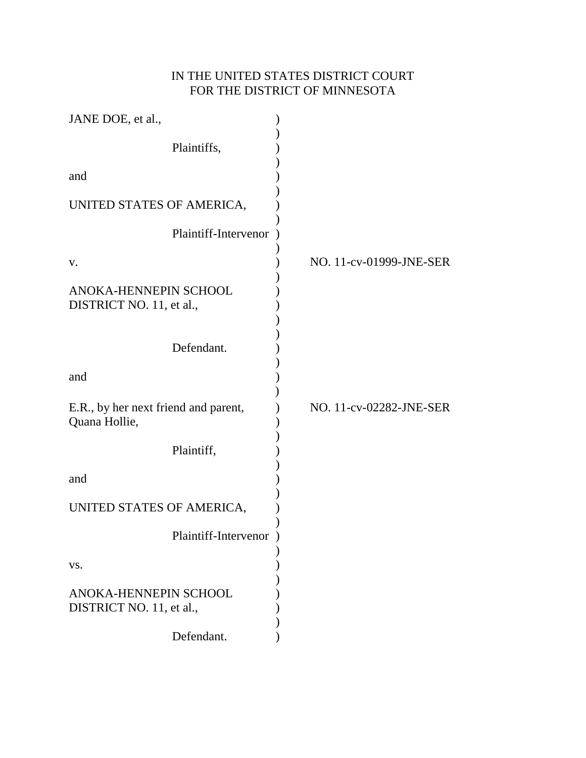# IN THE UNITED STATES DISTRICT COURT FOR THE DISTRICT OF MINNESOTA

| JANE DOE, et al.,                                     |                         |
|-------------------------------------------------------|-------------------------|
| Plaintiffs,                                           |                         |
| and                                                   |                         |
| UNITED STATES OF AMERICA,                             |                         |
| Plaintiff-Intervenor                                  |                         |
| V.                                                    | NO. 11-cv-01999-JNE-SER |
| ANOKA-HENNEPIN SCHOOL<br>DISTRICT NO. 11, et al.,     |                         |
| Defendant.                                            |                         |
| and                                                   |                         |
| E.R., by her next friend and parent,<br>Quana Hollie, | NO. 11-cv-02282-JNE-SER |
| Plaintiff,                                            |                         |
| and                                                   |                         |
| UNITED STATES OF AMERICA,                             |                         |
| Plaintiff-Intervenor                                  |                         |
| VS.                                                   |                         |
| ANOKA-HENNEPIN SCHOOL<br>DISTRICT NO. 11, et al.,     |                         |
| Defendant.                                            |                         |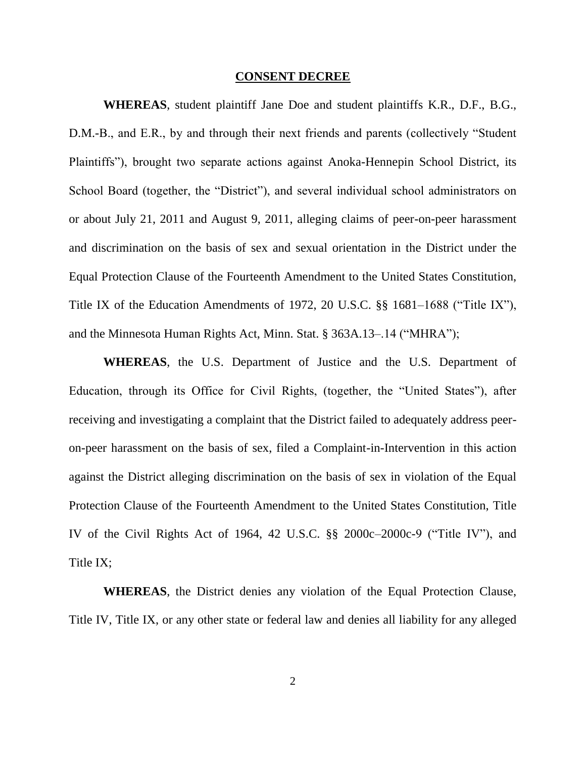#### **CONSENT DECREE**

**WHEREAS**, student plaintiff Jane Doe and student plaintiffs K.R., D.F., B.G., D.M.-B., and E.R., by and through their next friends and parents (collectively "Student Plaintiffs"), brought two separate actions against Anoka-Hennepin School District, its School Board (together, the "District"), and several individual school administrators on or about July 21, 2011 and August 9, 2011, alleging claims of peer-on-peer harassment and discrimination on the basis of sex and sexual orientation in the District under the Equal Protection Clause of the Fourteenth Amendment to the United States Constitution, Title IX of the Education Amendments of 1972, 20 U.S.C.  $\S$ § 1681–1688 ("Title IX"), and the Minnesota Human Rights Act, Minn. Stat.  $\S$  363A.13–.14 ("MHRA");

**WHEREAS**, the U.S. Department of Justice and the U.S. Department of Education, through its Office for Civil Rights, (together, the "United States"), after receiving and investigating a complaint that the District failed to adequately address peeron-peer harassment on the basis of sex, filed a Complaint-in-Intervention in this action against the District alleging discrimination on the basis of sex in violation of the Equal Protection Clause of the Fourteenth Amendment to the United States Constitution, Title IV of the Civil Rights Act of 1964, 42 U.S.C.  $\S\S$  2000c–2000c-9 ("Title IV"), and Title IX;

**WHEREAS**, the District denies any violation of the Equal Protection Clause, Title IV, Title IX, or any other state or federal law and denies all liability for any alleged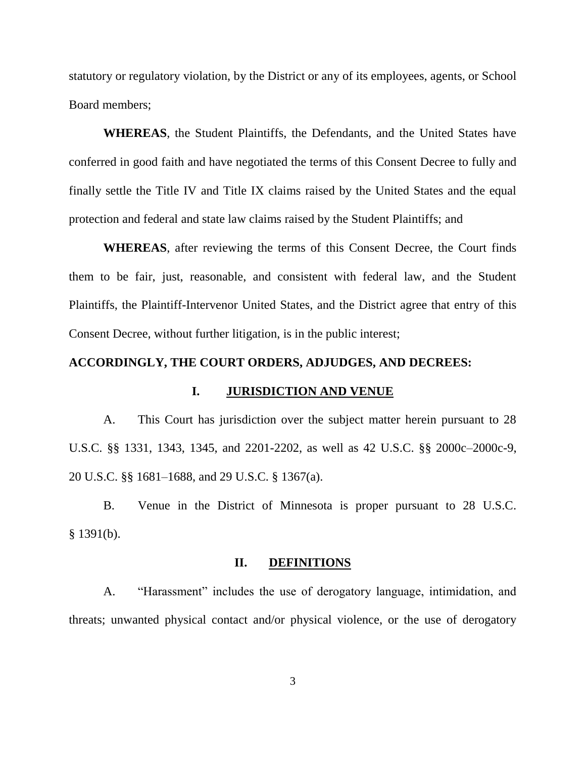statutory or regulatory violation, by the District or any of its employees, agents, or School Board members;

**WHEREAS**, the Student Plaintiffs, the Defendants, and the United States have conferred in good faith and have negotiated the terms of this Consent Decree to fully and finally settle the Title IV and Title IX claims raised by the United States and the equal protection and federal and state law claims raised by the Student Plaintiffs; and

**WHEREAS**, after reviewing the terms of this Consent Decree, the Court finds them to be fair, just, reasonable, and consistent with federal law, and the Student Plaintiffs, the Plaintiff-Intervenor United States, and the District agree that entry of this Consent Decree, without further litigation, is in the public interest;

### **ACCORDINGLY, THE COURT ORDERS, ADJUDGES, AND DECREES:**

### **I. JURISDICTION AND VENUE**

A. This Court has jurisdiction over the subject matter herein pursuant to 28 U.S.C. §§ 1331, 1343, 1345, and 2201-2202, as well as 42 U.S.C. §§ 2000c–2000c-9, 20 U.S.C. §§ 1681–1688, and 29 U.S.C. § 1367(a).

B. Venue in the District of Minnesota is proper pursuant to 28 U.S.C.  $§$  1391(b).

#### **II. DEFINITIONS**

A. "Harassment" includes the use of derogatory language, intimidation, and threats; unwanted physical contact and/or physical violence, or the use of derogatory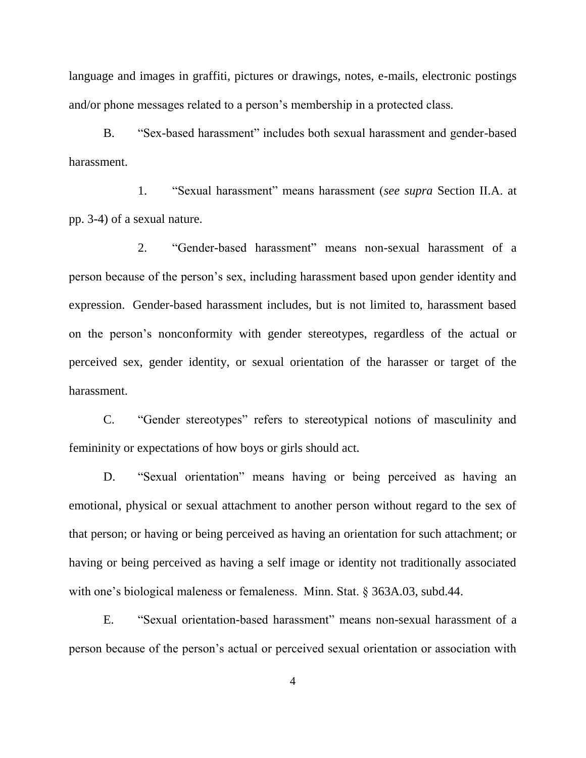language and images in graffiti, pictures or drawings, notes, e-mails, electronic postings and/or phone messages related to a person's membership in a protected class.

B. "Sex-based harassment" includes both sexual harassment and gender-based harassment.

1. ―Sexual harassment‖ means harassment (*see supra* Section II.A. at pp. 3-4) of a sexual nature.

2. "Gender-based harassment" means non-sexual harassment of a person because of the person's sex, including harassment based upon gender identity and expression. Gender-based harassment includes, but is not limited to, harassment based on the person's nonconformity with gender stereotypes, regardless of the actual or perceived sex, gender identity, or sexual orientation of the harasser or target of the harassment.

C. "Gender stereotypes" refers to stereotypical notions of masculinity and femininity or expectations of how boys or girls should act.

D. "Sexual orientation" means having or being perceived as having an emotional, physical or sexual attachment to another person without regard to the sex of that person; or having or being perceived as having an orientation for such attachment; or having or being perceived as having a self image or identity not traditionally associated with one's biological maleness or femaleness. Minn. Stat. § 363A.03, subd.44.

E. "Sexual orientation-based harassment" means non-sexual harassment of a person because of the person's actual or perceived sexual orientation or association with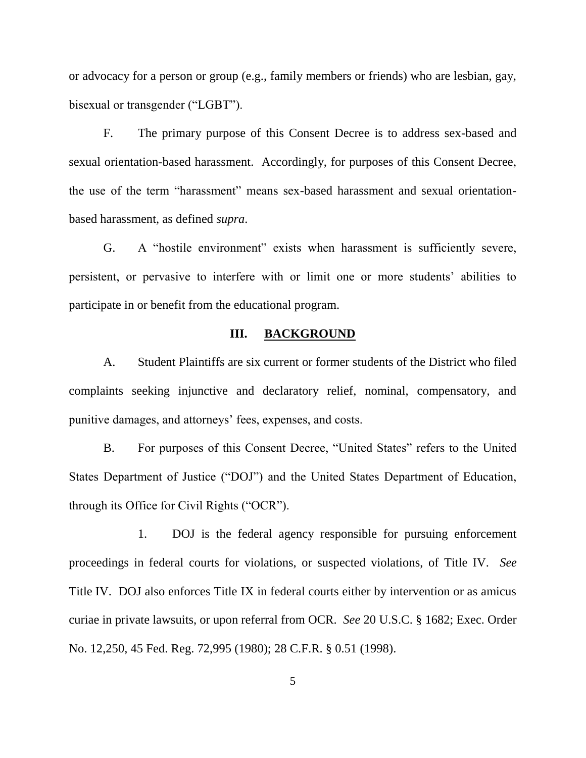or advocacy for a person or group (e.g., family members or friends) who are lesbian, gay, bisexual or transgender ("LGBT").

F. The primary purpose of this Consent Decree is to address sex-based and sexual orientation-based harassment. Accordingly, for purposes of this Consent Decree, the use of the term "harassment" means sex-based harassment and sexual orientationbased harassment, as defined *supra*.

G. A "hostile environment" exists when harassment is sufficiently severe, persistent, or pervasive to interfere with or limit one or more students' abilities to participate in or benefit from the educational program.

## **III. BACKGROUND**

A. Student Plaintiffs are six current or former students of the District who filed complaints seeking injunctive and declaratory relief, nominal, compensatory, and punitive damages, and attorneys' fees, expenses, and costs.

B. For purposes of this Consent Decree, "United States" refers to the United States Department of Justice ("DOJ") and the United States Department of Education, through its Office for Civil Rights ("OCR").

1. DOJ is the federal agency responsible for pursuing enforcement proceedings in federal courts for violations, or suspected violations, of Title IV. *See* Title IV. DOJ also enforces Title IX in federal courts either by intervention or as amicus curiae in private lawsuits, or upon referral from OCR. *See* 20 U.S.C. § 1682; Exec. Order No. 12,250, 45 Fed. Reg. 72,995 (1980); 28 C.F.R. § 0.51 (1998).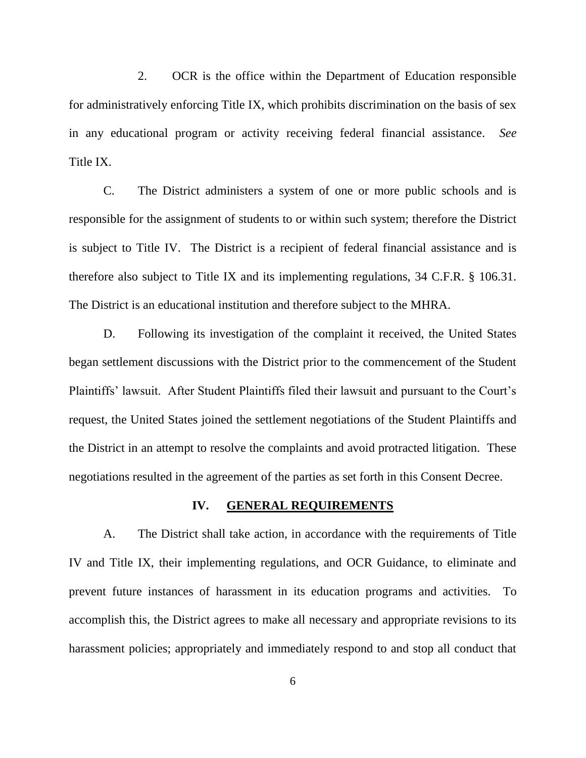2. OCR is the office within the Department of Education responsible for administratively enforcing Title IX, which prohibits discrimination on the basis of sex in any educational program or activity receiving federal financial assistance. *See* Title IX.

C. The District administers a system of one or more public schools and is responsible for the assignment of students to or within such system; therefore the District is subject to Title IV. The District is a recipient of federal financial assistance and is therefore also subject to Title IX and its implementing regulations, 34 C.F.R. § 106.31. The District is an educational institution and therefore subject to the MHRA.

D. Following its investigation of the complaint it received, the United States began settlement discussions with the District prior to the commencement of the Student Plaintiffs' lawsuit. After Student Plaintiffs filed their lawsuit and pursuant to the Court's request, the United States joined the settlement negotiations of the Student Plaintiffs and the District in an attempt to resolve the complaints and avoid protracted litigation. These negotiations resulted in the agreement of the parties as set forth in this Consent Decree.

#### **IV. GENERAL REQUIREMENTS**

A. The District shall take action, in accordance with the requirements of Title IV and Title IX, their implementing regulations, and OCR Guidance, to eliminate and prevent future instances of harassment in its education programs and activities. To accomplish this, the District agrees to make all necessary and appropriate revisions to its harassment policies; appropriately and immediately respond to and stop all conduct that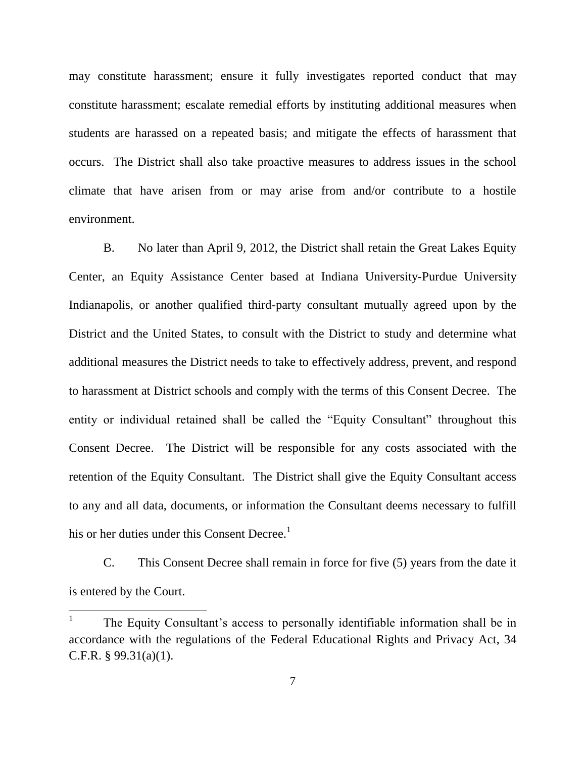may constitute harassment; ensure it fully investigates reported conduct that may constitute harassment; escalate remedial efforts by instituting additional measures when students are harassed on a repeated basis; and mitigate the effects of harassment that occurs. The District shall also take proactive measures to address issues in the school climate that have arisen from or may arise from and/or contribute to a hostile environment.

B. No later than April 9, 2012, the District shall retain the Great Lakes Equity Center, an Equity Assistance Center based at Indiana University-Purdue University Indianapolis, or another qualified third-party consultant mutually agreed upon by the District and the United States, to consult with the District to study and determine what additional measures the District needs to take to effectively address, prevent, and respond to harassment at District schools and comply with the terms of this Consent Decree. The entity or individual retained shall be called the "Equity Consultant" throughout this Consent Decree. The District will be responsible for any costs associated with the retention of the Equity Consultant. The District shall give the Equity Consultant access to any and all data, documents, or information the Consultant deems necessary to fulfill his or her duties under this Consent Decree.<sup>1</sup>

C. This Consent Decree shall remain in force for five (5) years from the date it is entered by the Court.

 $\frac{1}{1}$ The Equity Consultant's access to personally identifiable information shall be in accordance with the regulations of the Federal Educational Rights and Privacy Act, 34 C.F.R.  $§$  99.31(a)(1).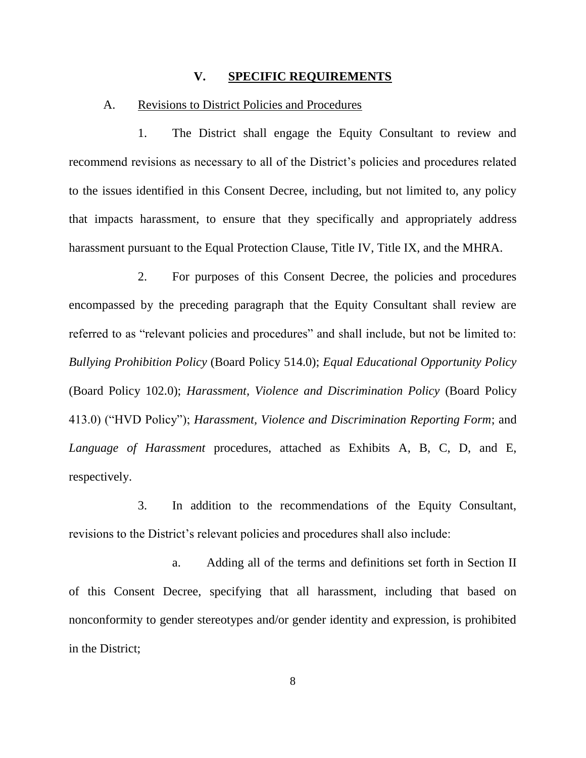### **V. SPECIFIC REQUIREMENTS**

#### A. Revisions to District Policies and Procedures

1. The District shall engage the Equity Consultant to review and recommend revisions as necessary to all of the District's policies and procedures related to the issues identified in this Consent Decree, including, but not limited to, any policy that impacts harassment, to ensure that they specifically and appropriately address harassment pursuant to the Equal Protection Clause, Title IV, Title IX, and the MHRA.

2. For purposes of this Consent Decree, the policies and procedures encompassed by the preceding paragraph that the Equity Consultant shall review are referred to as "relevant policies and procedures" and shall include, but not be limited to: *Bullying Prohibition Policy* (Board Policy 514.0); *Equal Educational Opportunity Policy* (Board Policy 102.0); *Harassment, Violence and Discrimination Policy* (Board Policy 413.0) ("HVD Policy"); *Harassment, Violence and Discrimination Reporting Form*; and *Language of Harassment* procedures, attached as Exhibits A, B, C, D, and E, respectively.

3. In addition to the recommendations of the Equity Consultant, revisions to the District's relevant policies and procedures shall also include:

a. Adding all of the terms and definitions set forth in Section II of this Consent Decree, specifying that all harassment, including that based on nonconformity to gender stereotypes and/or gender identity and expression, is prohibited in the District;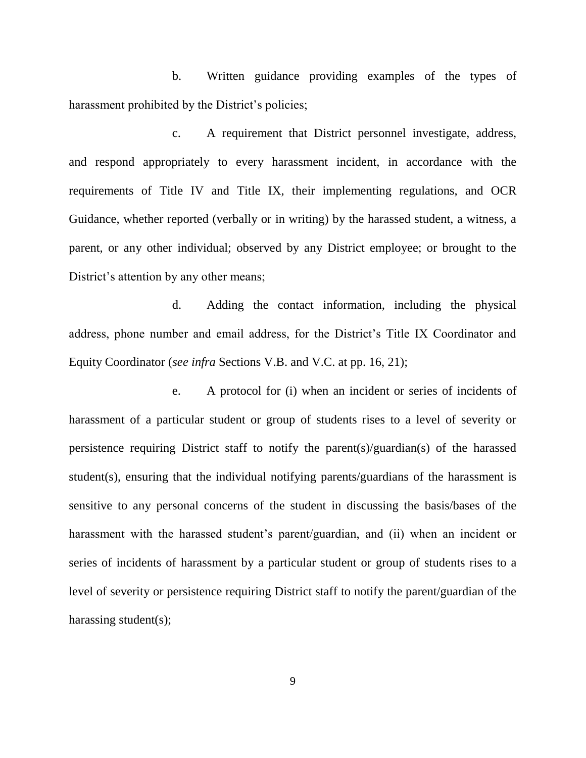b. Written guidance providing examples of the types of harassment prohibited by the District's policies;

c. A requirement that District personnel investigate, address, and respond appropriately to every harassment incident, in accordance with the requirements of Title IV and Title IX, their implementing regulations, and OCR Guidance, whether reported (verbally or in writing) by the harassed student, a witness, a parent, or any other individual; observed by any District employee; or brought to the District's attention by any other means;

d. Adding the contact information, including the physical address, phone number and email address, for the District's Title IX Coordinator and Equity Coordinator (*see infra* Sections V.B. and V.C. at pp. 16, 21);

e. A protocol for (i) when an incident or series of incidents of harassment of a particular student or group of students rises to a level of severity or persistence requiring District staff to notify the parent(s)/guardian(s) of the harassed student(s), ensuring that the individual notifying parents/guardians of the harassment is sensitive to any personal concerns of the student in discussing the basis/bases of the harassment with the harassed student's parent/guardian, and (ii) when an incident or series of incidents of harassment by a particular student or group of students rises to a level of severity or persistence requiring District staff to notify the parent/guardian of the harassing student(s);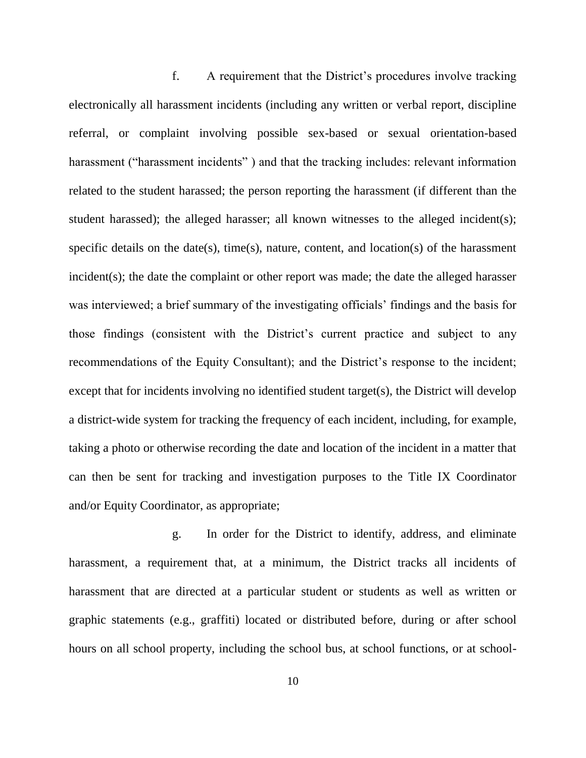f. A requirement that the District's procedures involve tracking electronically all harassment incidents (including any written or verbal report, discipline referral, or complaint involving possible sex-based or sexual orientation-based harassment ("harassment incidents") and that the tracking includes: relevant information related to the student harassed; the person reporting the harassment (if different than the student harassed); the alleged harasser; all known witnesses to the alleged incident(s); specific details on the date(s), time(s), nature, content, and location(s) of the harassment incident(s); the date the complaint or other report was made; the date the alleged harasser was interviewed; a brief summary of the investigating officials' findings and the basis for those findings (consistent with the District's current practice and subject to any recommendations of the Equity Consultant); and the District's response to the incident; except that for incidents involving no identified student target(s), the District will develop a district-wide system for tracking the frequency of each incident, including, for example, taking a photo or otherwise recording the date and location of the incident in a matter that can then be sent for tracking and investigation purposes to the Title IX Coordinator and/or Equity Coordinator, as appropriate;

g. In order for the District to identify, address, and eliminate harassment, a requirement that, at a minimum, the District tracks all incidents of harassment that are directed at a particular student or students as well as written or graphic statements (e.g., graffiti) located or distributed before, during or after school hours on all school property, including the school bus, at school functions, or at school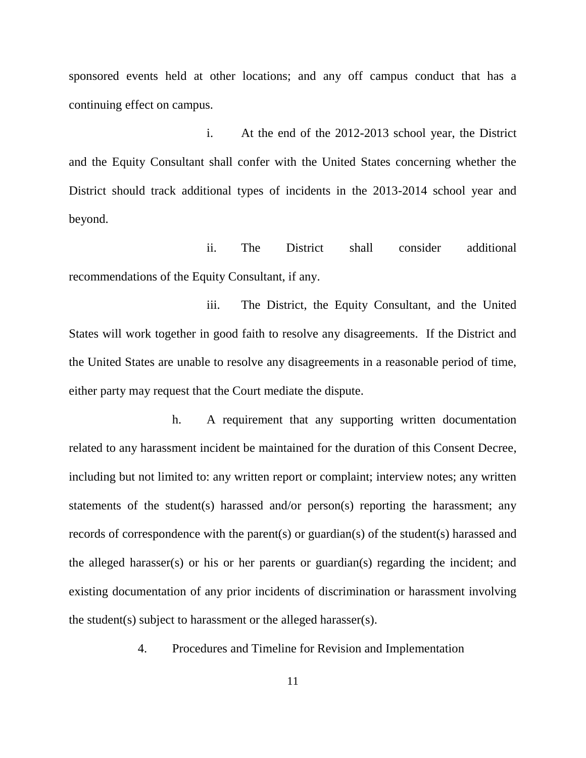sponsored events held at other locations; and any off campus conduct that has a continuing effect on campus.

i. At the end of the 2012-2013 school year, the District and the Equity Consultant shall confer with the United States concerning whether the District should track additional types of incidents in the 2013-2014 school year and beyond.

ii. The District shall consider additional recommendations of the Equity Consultant, if any.

iii. The District, the Equity Consultant, and the United States will work together in good faith to resolve any disagreements. If the District and the United States are unable to resolve any disagreements in a reasonable period of time, either party may request that the Court mediate the dispute.

h. A requirement that any supporting written documentation related to any harassment incident be maintained for the duration of this Consent Decree, including but not limited to: any written report or complaint; interview notes; any written statements of the student(s) harassed and/or person(s) reporting the harassment; any records of correspondence with the parent(s) or guardian(s) of the student(s) harassed and the alleged harasser(s) or his or her parents or guardian(s) regarding the incident; and existing documentation of any prior incidents of discrimination or harassment involving the student(s) subject to harassment or the alleged harasser(s).

4. Procedures and Timeline for Revision and Implementation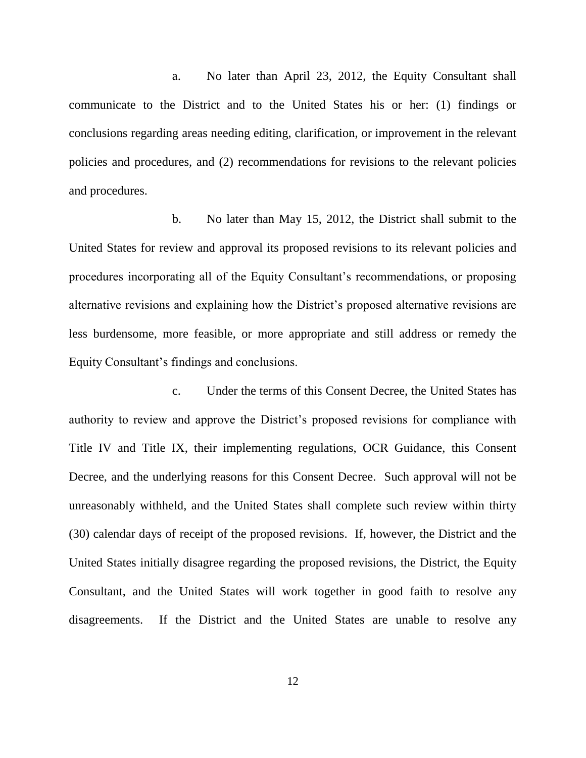a. No later than April 23, 2012, the Equity Consultant shall communicate to the District and to the United States his or her: (1) findings or conclusions regarding areas needing editing, clarification, or improvement in the relevant policies and procedures, and (2) recommendations for revisions to the relevant policies and procedures.

b. No later than May 15, 2012, the District shall submit to the United States for review and approval its proposed revisions to its relevant policies and procedures incorporating all of the Equity Consultant's recommendations, or proposing alternative revisions and explaining how the District's proposed alternative revisions are less burdensome, more feasible, or more appropriate and still address or remedy the Equity Consultant's findings and conclusions.

c. Under the terms of this Consent Decree, the United States has authority to review and approve the District's proposed revisions for compliance with Title IV and Title IX, their implementing regulations, OCR Guidance, this Consent Decree, and the underlying reasons for this Consent Decree. Such approval will not be unreasonably withheld, and the United States shall complete such review within thirty (30) calendar days of receipt of the proposed revisions. If, however, the District and the United States initially disagree regarding the proposed revisions, the District, the Equity Consultant, and the United States will work together in good faith to resolve any disagreements. If the District and the United States are unable to resolve any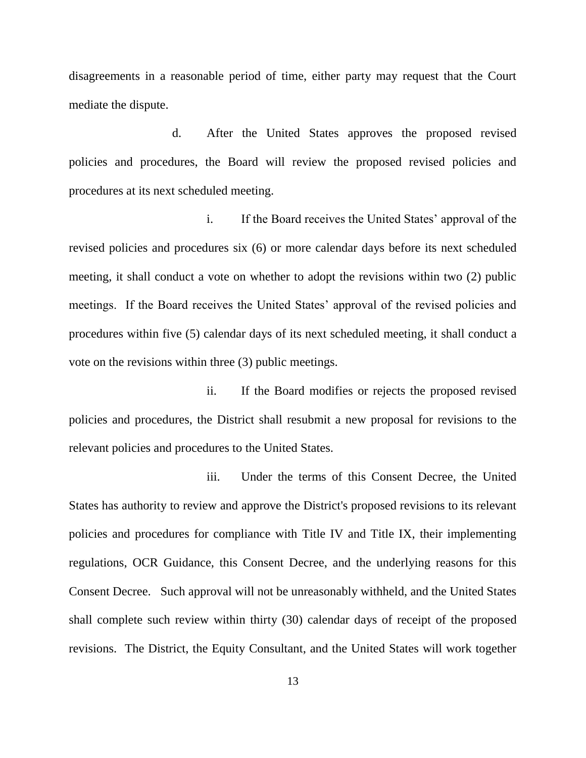disagreements in a reasonable period of time, either party may request that the Court mediate the dispute.

d. After the United States approves the proposed revised policies and procedures, the Board will review the proposed revised policies and procedures at its next scheduled meeting.

i. If the Board receives the United States' approval of the revised policies and procedures six (6) or more calendar days before its next scheduled meeting, it shall conduct a vote on whether to adopt the revisions within two (2) public meetings. If the Board receives the United States' approval of the revised policies and procedures within five (5) calendar days of its next scheduled meeting, it shall conduct a vote on the revisions within three (3) public meetings.

ii. If the Board modifies or rejects the proposed revised policies and procedures, the District shall resubmit a new proposal for revisions to the relevant policies and procedures to the United States.

iii. Under the terms of this Consent Decree, the United States has authority to review and approve the District's proposed revisions to its relevant policies and procedures for compliance with Title IV and Title IX, their implementing regulations, OCR Guidance, this Consent Decree, and the underlying reasons for this Consent Decree. Such approval will not be unreasonably withheld, and the United States shall complete such review within thirty (30) calendar days of receipt of the proposed revisions. The District, the Equity Consultant, and the United States will work together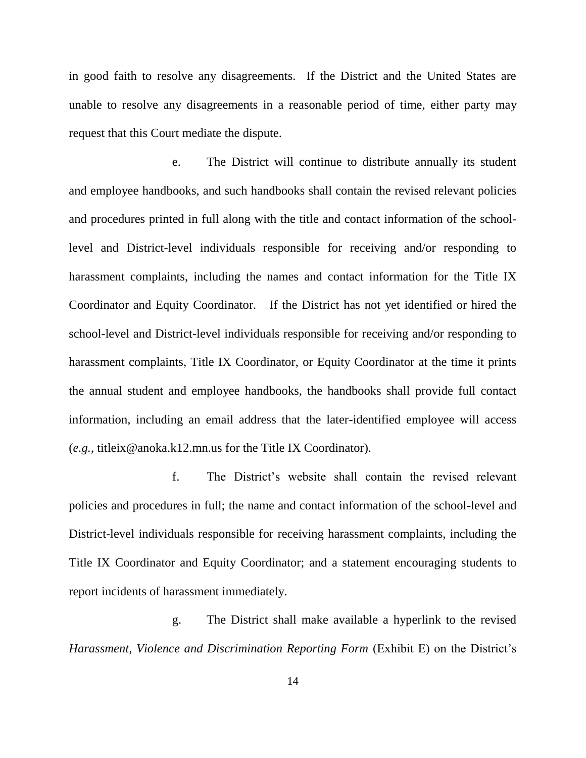in good faith to resolve any disagreements. If the District and the United States are unable to resolve any disagreements in a reasonable period of time, either party may request that this Court mediate the dispute.

e. The District will continue to distribute annually its student and employee handbooks, and such handbooks shall contain the revised relevant policies and procedures printed in full along with the title and contact information of the schoollevel and District-level individuals responsible for receiving and/or responding to harassment complaints, including the names and contact information for the Title IX Coordinator and Equity Coordinator. If the District has not yet identified or hired the school-level and District-level individuals responsible for receiving and/or responding to harassment complaints, Title IX Coordinator, or Equity Coordinator at the time it prints the annual student and employee handbooks, the handbooks shall provide full contact information, including an email address that the later-identified employee will access (*e.g.*, titleix@anoka.k12.mn.us for the Title IX Coordinator).

f. The District's website shall contain the revised relevant policies and procedures in full; the name and contact information of the school-level and District-level individuals responsible for receiving harassment complaints, including the Title IX Coordinator and Equity Coordinator; and a statement encouraging students to report incidents of harassment immediately.

g. The District shall make available a hyperlink to the revised *Harassment, Violence and Discrimination Reporting Form* (Exhibit E) on the District's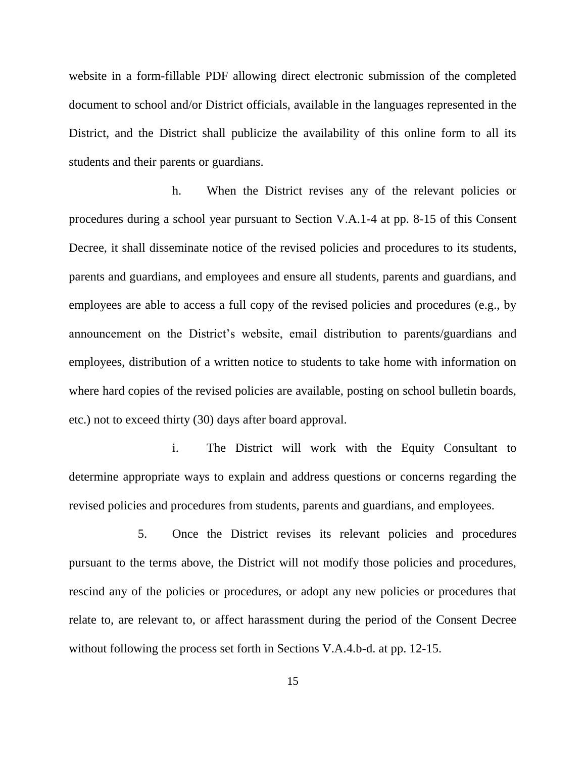website in a form-fillable PDF allowing direct electronic submission of the completed document to school and/or District officials, available in the languages represented in the District, and the District shall publicize the availability of this online form to all its students and their parents or guardians.

h. When the District revises any of the relevant policies or procedures during a school year pursuant to Section V.A.1-4 at pp. 8-15 of this Consent Decree, it shall disseminate notice of the revised policies and procedures to its students, parents and guardians, and employees and ensure all students, parents and guardians, and employees are able to access a full copy of the revised policies and procedures (e.g., by announcement on the District's website, email distribution to parents/guardians and employees, distribution of a written notice to students to take home with information on where hard copies of the revised policies are available, posting on school bulletin boards, etc.) not to exceed thirty (30) days after board approval.

i. The District will work with the Equity Consultant to determine appropriate ways to explain and address questions or concerns regarding the revised policies and procedures from students, parents and guardians, and employees.

5. Once the District revises its relevant policies and procedures pursuant to the terms above, the District will not modify those policies and procedures, rescind any of the policies or procedures, or adopt any new policies or procedures that relate to, are relevant to, or affect harassment during the period of the Consent Decree without following the process set forth in Sections V.A.4.b-d. at pp. 12-15.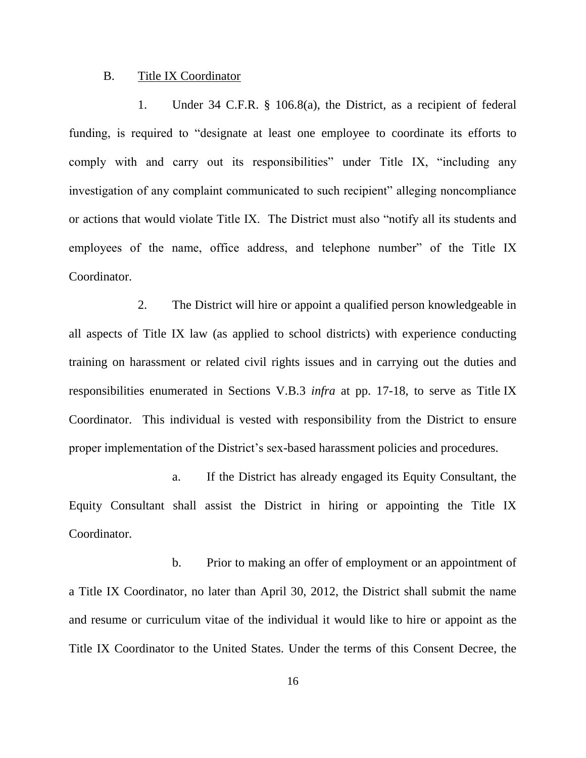#### B. Title IX Coordinator

1. Under 34 C.F.R. § 106.8(a), the District, as a recipient of federal funding, is required to "designate at least one employee to coordinate its efforts to comply with and carry out its responsibilities" under Title IX, "including any investigation of any complaint communicated to such recipient" alleging noncompliance or actions that would violate Title IX. The District must also "notify all its students and employees of the name, office address, and telephone number" of the Title IX Coordinator.

2. The District will hire or appoint a qualified person knowledgeable in all aspects of Title IX law (as applied to school districts) with experience conducting training on harassment or related civil rights issues and in carrying out the duties and responsibilities enumerated in Sections V.B.3 *infra* at pp. 17-18, to serve as Title IX Coordinator. This individual is vested with responsibility from the District to ensure proper implementation of the District's sex-based harassment policies and procedures.

a. If the District has already engaged its Equity Consultant, the Equity Consultant shall assist the District in hiring or appointing the Title IX Coordinator.

b. Prior to making an offer of employment or an appointment of a Title IX Coordinator, no later than April 30, 2012, the District shall submit the name and resume or curriculum vitae of the individual it would like to hire or appoint as the Title IX Coordinator to the United States. Under the terms of this Consent Decree, the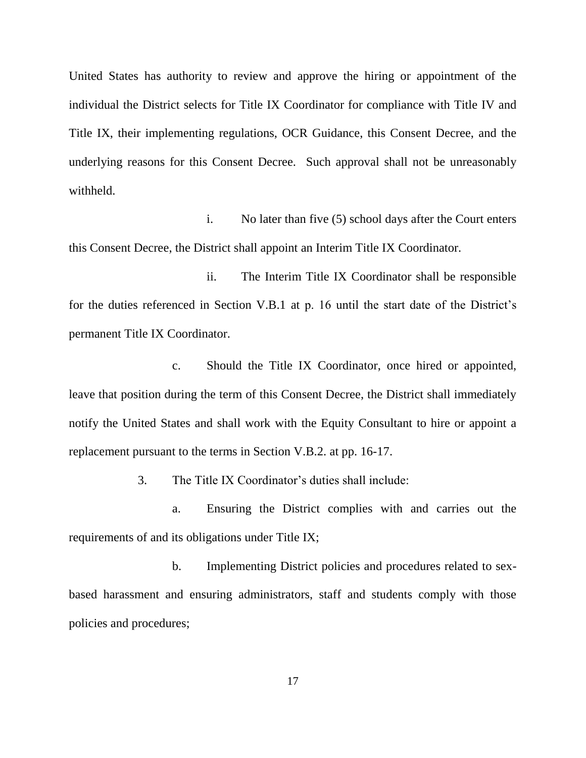United States has authority to review and approve the hiring or appointment of the individual the District selects for Title IX Coordinator for compliance with Title IV and Title IX, their implementing regulations, OCR Guidance, this Consent Decree, and the underlying reasons for this Consent Decree. Such approval shall not be unreasonably withheld.

i. No later than five (5) school days after the Court enters this Consent Decree, the District shall appoint an Interim Title IX Coordinator.

ii. The Interim Title IX Coordinator shall be responsible for the duties referenced in Section V.B.1 at p. 16 until the start date of the District's permanent Title IX Coordinator.

c. Should the Title IX Coordinator, once hired or appointed, leave that position during the term of this Consent Decree, the District shall immediately notify the United States and shall work with the Equity Consultant to hire or appoint a replacement pursuant to the terms in Section V.B.2. at pp. 16-17.

3. The Title IX Coordinator's duties shall include:

a. Ensuring the District complies with and carries out the requirements of and its obligations under Title IX;

b. Implementing District policies and procedures related to sexbased harassment and ensuring administrators, staff and students comply with those policies and procedures;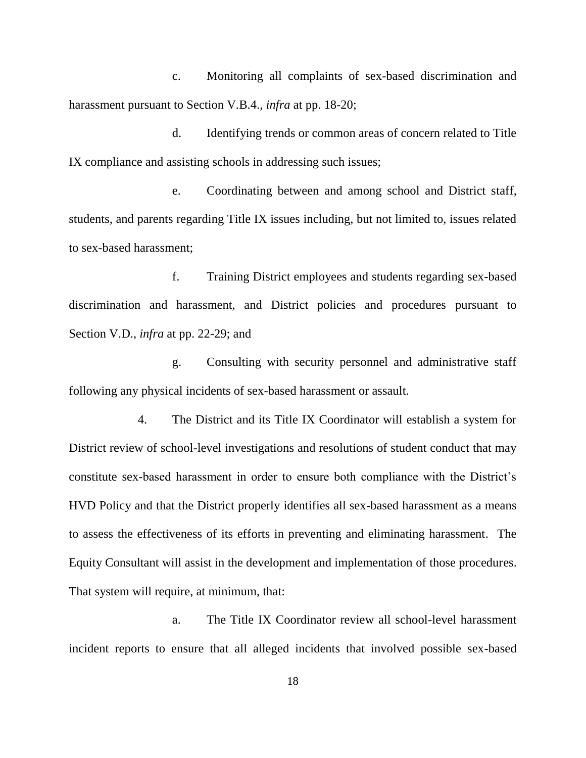c. Monitoring all complaints of sex-based discrimination and harassment pursuant to Section V.B.4., *infra* at pp. 18-20;

d. Identifying trends or common areas of concern related to Title IX compliance and assisting schools in addressing such issues;

e. Coordinating between and among school and District staff, students, and parents regarding Title IX issues including, but not limited to, issues related to sex-based harassment;

f. Training District employees and students regarding sex-based discrimination and harassment, and District policies and procedures pursuant to Section V.D., *infra* at pp. 22-29; and

g. Consulting with security personnel and administrative staff following any physical incidents of sex-based harassment or assault.

4. The District and its Title IX Coordinator will establish a system for District review of school-level investigations and resolutions of student conduct that may constitute sex-based harassment in order to ensure both compliance with the District's HVD Policy and that the District properly identifies all sex-based harassment as a means to assess the effectiveness of its efforts in preventing and eliminating harassment. The Equity Consultant will assist in the development and implementation of those procedures. That system will require, at minimum, that:

a. The Title IX Coordinator review all school-level harassment incident reports to ensure that all alleged incidents that involved possible sex-based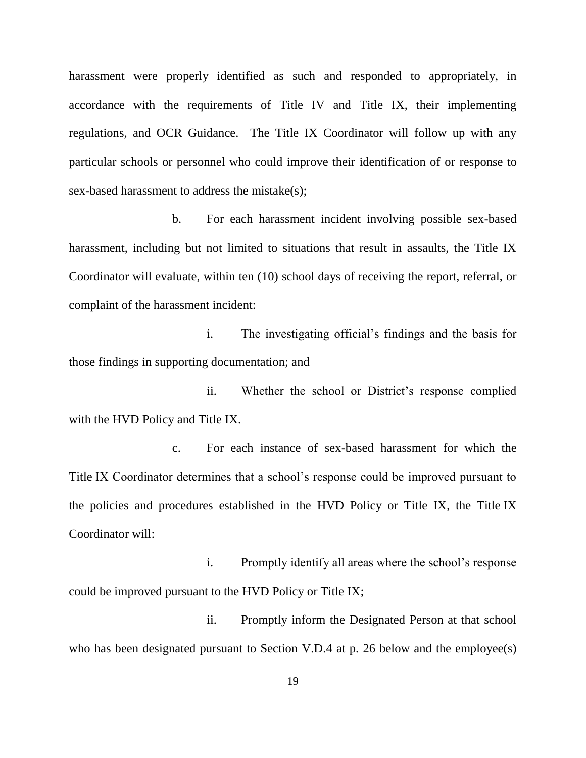harassment were properly identified as such and responded to appropriately, in accordance with the requirements of Title IV and Title IX, their implementing regulations, and OCR Guidance. The Title IX Coordinator will follow up with any particular schools or personnel who could improve their identification of or response to sex-based harassment to address the mistake(s);

b. For each harassment incident involving possible sex-based harassment, including but not limited to situations that result in assaults, the Title IX Coordinator will evaluate, within ten (10) school days of receiving the report, referral, or complaint of the harassment incident:

i. The investigating official's findings and the basis for those findings in supporting documentation; and

ii. Whether the school or District's response complied with the HVD Policy and Title IX.

c. For each instance of sex-based harassment for which the Title IX Coordinator determines that a school's response could be improved pursuant to the policies and procedures established in the HVD Policy or Title IX, the Title IX Coordinator will:

i. Promptly identify all areas where the school's response could be improved pursuant to the HVD Policy or Title IX;

ii. Promptly inform the Designated Person at that school who has been designated pursuant to Section V.D.4 at p. 26 below and the employee(s)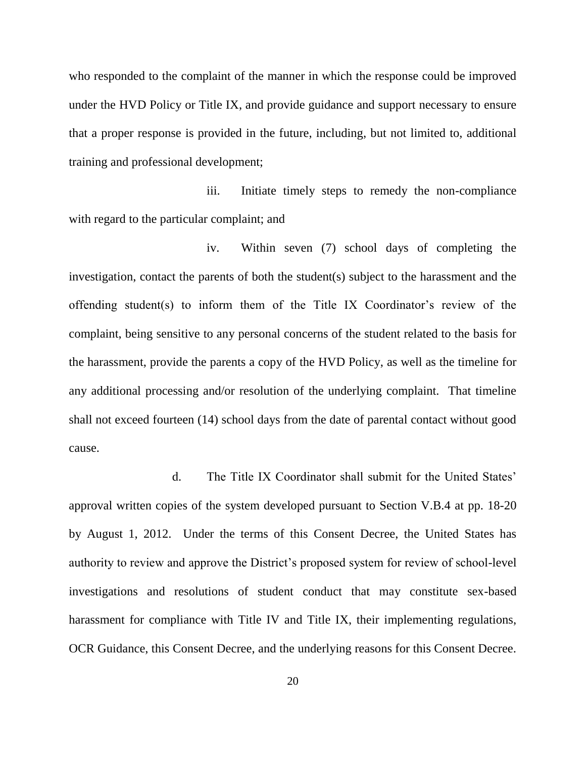who responded to the complaint of the manner in which the response could be improved under the HVD Policy or Title IX, and provide guidance and support necessary to ensure that a proper response is provided in the future, including, but not limited to, additional training and professional development;

iii. Initiate timely steps to remedy the non-compliance with regard to the particular complaint; and

iv. Within seven (7) school days of completing the investigation, contact the parents of both the student(s) subject to the harassment and the offending student(s) to inform them of the Title IX Coordinator's review of the complaint, being sensitive to any personal concerns of the student related to the basis for the harassment, provide the parents a copy of the HVD Policy, as well as the timeline for any additional processing and/or resolution of the underlying complaint. That timeline shall not exceed fourteen (14) school days from the date of parental contact without good cause.

d. The Title IX Coordinator shall submit for the United States' approval written copies of the system developed pursuant to Section V.B.4 at pp. 18-20 by August 1, 2012. Under the terms of this Consent Decree, the United States has authority to review and approve the District's proposed system for review of school-level investigations and resolutions of student conduct that may constitute sex-based harassment for compliance with Title IV and Title IX, their implementing regulations, OCR Guidance, this Consent Decree, and the underlying reasons for this Consent Decree.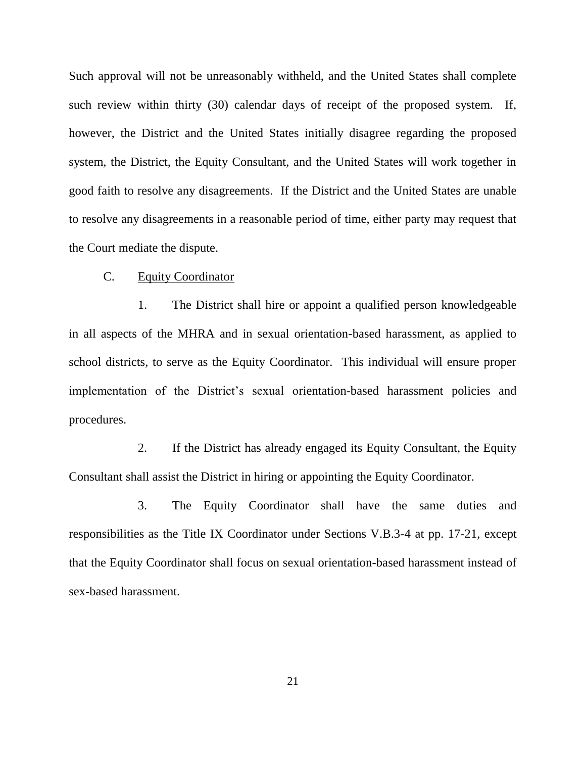Such approval will not be unreasonably withheld, and the United States shall complete such review within thirty (30) calendar days of receipt of the proposed system. If, however, the District and the United States initially disagree regarding the proposed system, the District, the Equity Consultant, and the United States will work together in good faith to resolve any disagreements. If the District and the United States are unable to resolve any disagreements in a reasonable period of time, either party may request that the Court mediate the dispute.

### C. Equity Coordinator

1. The District shall hire or appoint a qualified person knowledgeable in all aspects of the MHRA and in sexual orientation-based harassment, as applied to school districts, to serve as the Equity Coordinator. This individual will ensure proper implementation of the District's sexual orientation-based harassment policies and procedures.

2. If the District has already engaged its Equity Consultant, the Equity Consultant shall assist the District in hiring or appointing the Equity Coordinator.

3. The Equity Coordinator shall have the same duties and responsibilities as the Title IX Coordinator under Sections V.B.3-4 at pp. 17-21, except that the Equity Coordinator shall focus on sexual orientation-based harassment instead of sex-based harassment.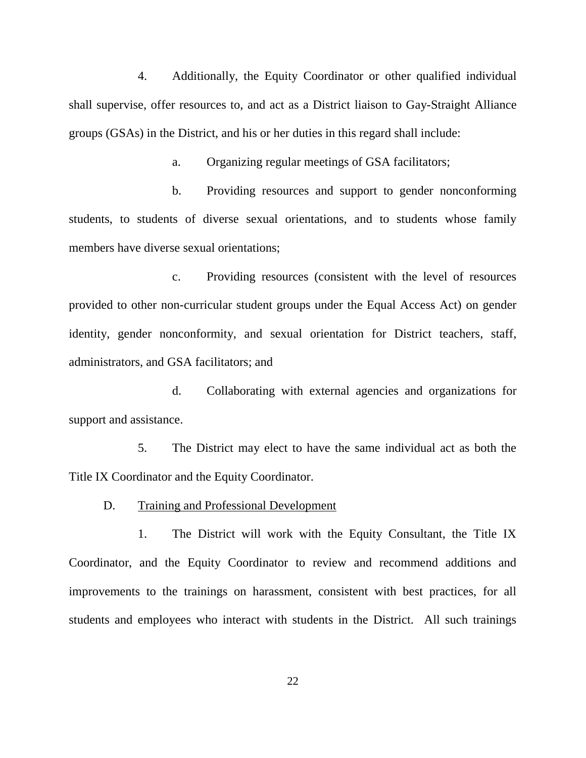4. Additionally, the Equity Coordinator or other qualified individual shall supervise, offer resources to, and act as a District liaison to Gay-Straight Alliance groups (GSAs) in the District, and his or her duties in this regard shall include:

a. Organizing regular meetings of GSA facilitators;

b. Providing resources and support to gender nonconforming students, to students of diverse sexual orientations, and to students whose family members have diverse sexual orientations;

c. Providing resources (consistent with the level of resources provided to other non-curricular student groups under the Equal Access Act) on gender identity, gender nonconformity, and sexual orientation for District teachers, staff, administrators, and GSA facilitators; and

d. Collaborating with external agencies and organizations for support and assistance.

5. The District may elect to have the same individual act as both the Title IX Coordinator and the Equity Coordinator.

D. Training and Professional Development

1. The District will work with the Equity Consultant, the Title IX Coordinator, and the Equity Coordinator to review and recommend additions and improvements to the trainings on harassment, consistent with best practices, for all students and employees who interact with students in the District. All such trainings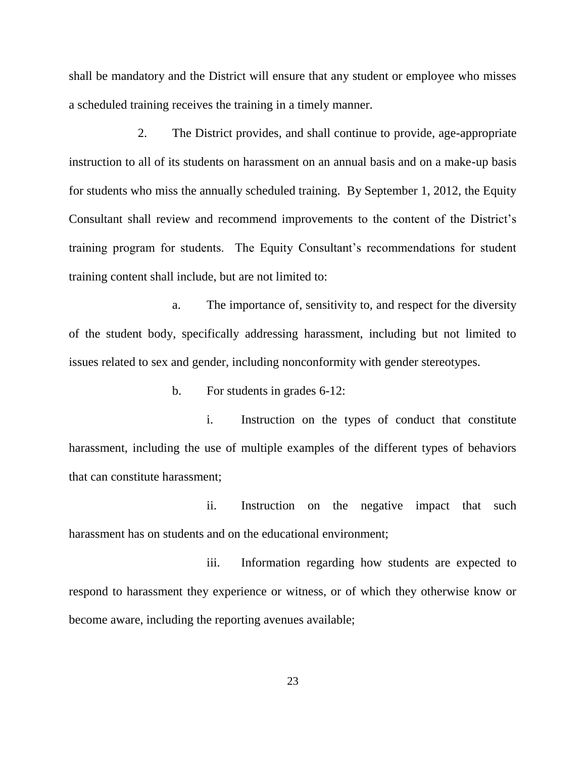shall be mandatory and the District will ensure that any student or employee who misses a scheduled training receives the training in a timely manner.

2. The District provides, and shall continue to provide, age-appropriate instruction to all of its students on harassment on an annual basis and on a make-up basis for students who miss the annually scheduled training. By September 1, 2012, the Equity Consultant shall review and recommend improvements to the content of the District's training program for students. The Equity Consultant's recommendations for student training content shall include, but are not limited to:

a. The importance of, sensitivity to, and respect for the diversity of the student body, specifically addressing harassment, including but not limited to issues related to sex and gender, including nonconformity with gender stereotypes.

b. For students in grades 6-12:

i. Instruction on the types of conduct that constitute harassment, including the use of multiple examples of the different types of behaviors that can constitute harassment;

ii. Instruction on the negative impact that such harassment has on students and on the educational environment;

iii. Information regarding how students are expected to respond to harassment they experience or witness, or of which they otherwise know or become aware, including the reporting avenues available;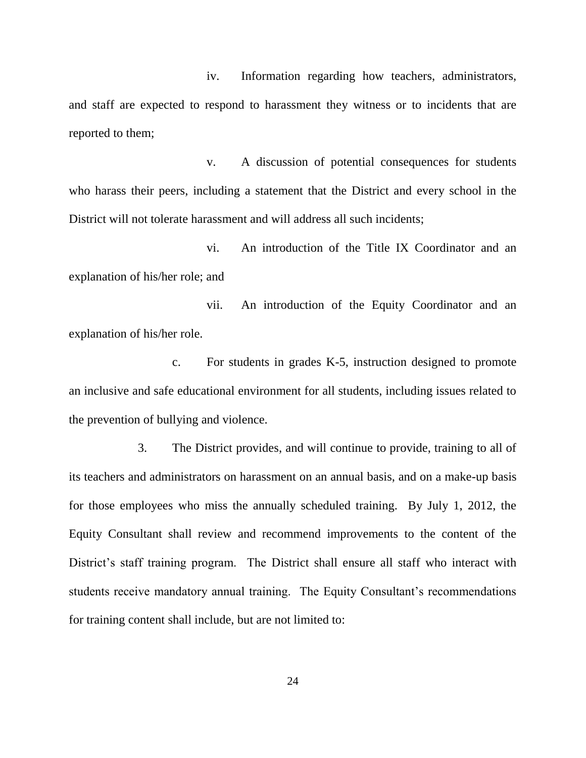iv. Information regarding how teachers, administrators, and staff are expected to respond to harassment they witness or to incidents that are reported to them;

v. A discussion of potential consequences for students who harass their peers, including a statement that the District and every school in the District will not tolerate harassment and will address all such incidents;

vi. An introduction of the Title IX Coordinator and an explanation of his/her role; and

vii. An introduction of the Equity Coordinator and an explanation of his/her role.

c. For students in grades K-5, instruction designed to promote an inclusive and safe educational environment for all students, including issues related to the prevention of bullying and violence.

3. The District provides, and will continue to provide, training to all of its teachers and administrators on harassment on an annual basis, and on a make-up basis for those employees who miss the annually scheduled training. By July 1, 2012, the Equity Consultant shall review and recommend improvements to the content of the District's staff training program. The District shall ensure all staff who interact with students receive mandatory annual training. The Equity Consultant's recommendations for training content shall include, but are not limited to: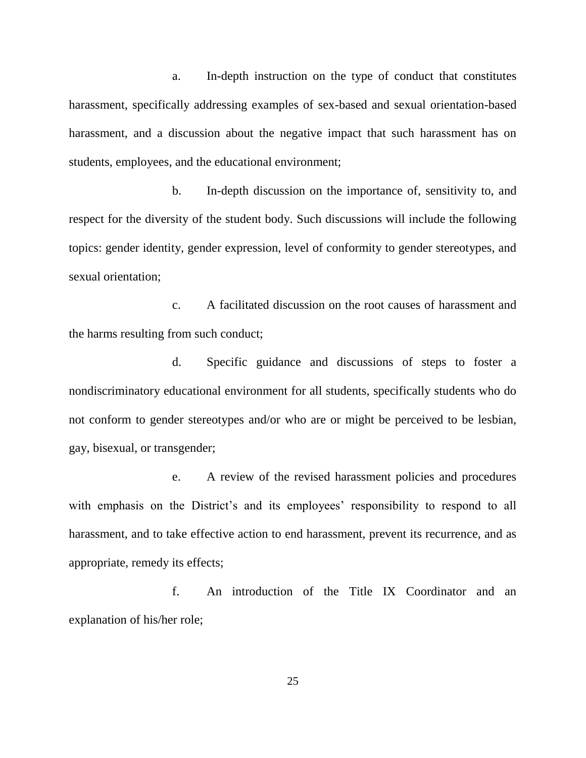a. In-depth instruction on the type of conduct that constitutes harassment, specifically addressing examples of sex-based and sexual orientation-based harassment, and a discussion about the negative impact that such harassment has on students, employees, and the educational environment;

b. In-depth discussion on the importance of, sensitivity to, and respect for the diversity of the student body. Such discussions will include the following topics: gender identity, gender expression, level of conformity to gender stereotypes, and sexual orientation;

c. A facilitated discussion on the root causes of harassment and the harms resulting from such conduct;

d. Specific guidance and discussions of steps to foster a nondiscriminatory educational environment for all students, specifically students who do not conform to gender stereotypes and/or who are or might be perceived to be lesbian, gay, bisexual, or transgender;

e. A review of the revised harassment policies and procedures with emphasis on the District's and its employees' responsibility to respond to all harassment, and to take effective action to end harassment, prevent its recurrence, and as appropriate, remedy its effects;

f. An introduction of the Title IX Coordinator and an explanation of his/her role;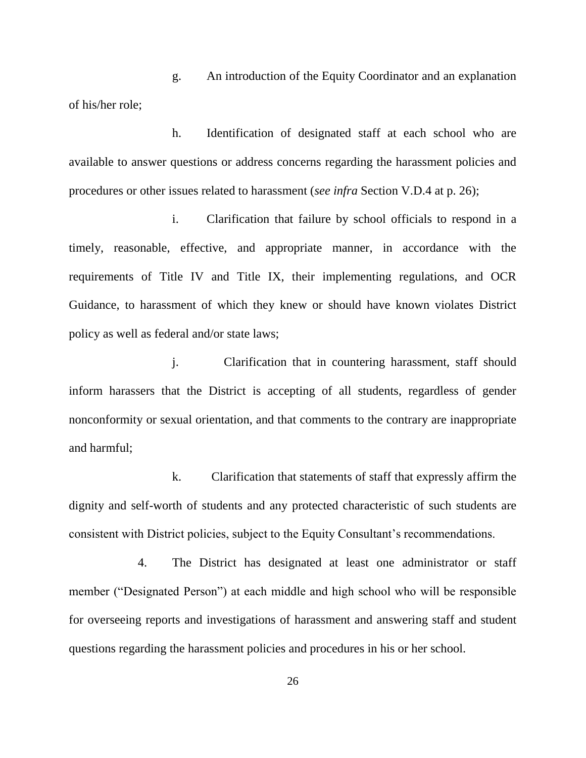g. An introduction of the Equity Coordinator and an explanation of his/her role;

h. Identification of designated staff at each school who are available to answer questions or address concerns regarding the harassment policies and procedures or other issues related to harassment (*see infra* Section V.D.4 at p. 26);

i. Clarification that failure by school officials to respond in a timely, reasonable, effective, and appropriate manner, in accordance with the requirements of Title IV and Title IX, their implementing regulations, and OCR Guidance, to harassment of which they knew or should have known violates District policy as well as federal and/or state laws;

j. Clarification that in countering harassment, staff should inform harassers that the District is accepting of all students, regardless of gender nonconformity or sexual orientation, and that comments to the contrary are inappropriate and harmful;

k. Clarification that statements of staff that expressly affirm the dignity and self-worth of students and any protected characteristic of such students are consistent with District policies, subject to the Equity Consultant's recommendations.

4. The District has designated at least one administrator or staff member ("Designated Person") at each middle and high school who will be responsible for overseeing reports and investigations of harassment and answering staff and student questions regarding the harassment policies and procedures in his or her school.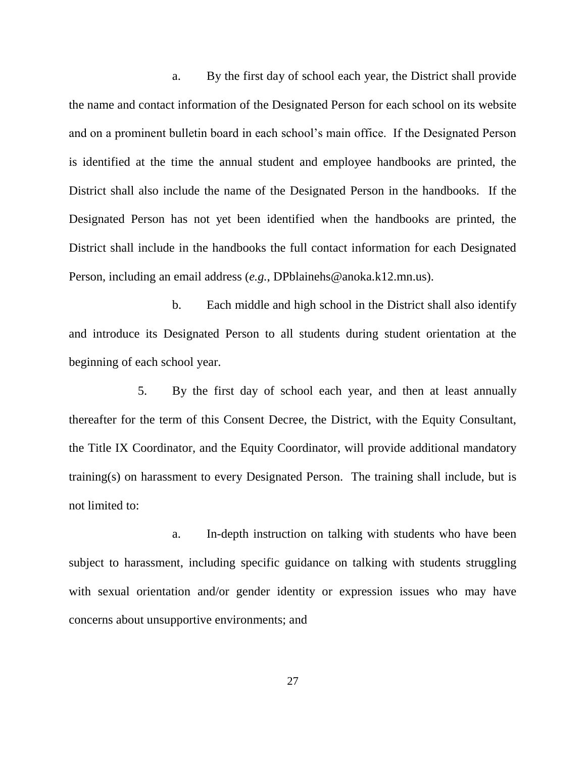a. By the first day of school each year, the District shall provide the name and contact information of the Designated Person for each school on its website and on a prominent bulletin board in each school's main office. If the Designated Person is identified at the time the annual student and employee handbooks are printed, the District shall also include the name of the Designated Person in the handbooks. If the Designated Person has not yet been identified when the handbooks are printed, the District shall include in the handbooks the full contact information for each Designated Person, including an email address (*e.g.*, DPblainehs@anoka.k12.mn.us).

b. Each middle and high school in the District shall also identify and introduce its Designated Person to all students during student orientation at the beginning of each school year.

5. By the first day of school each year, and then at least annually thereafter for the term of this Consent Decree, the District, with the Equity Consultant, the Title IX Coordinator, and the Equity Coordinator, will provide additional mandatory training(s) on harassment to every Designated Person. The training shall include, but is not limited to:

a. In-depth instruction on talking with students who have been subject to harassment, including specific guidance on talking with students struggling with sexual orientation and/or gender identity or expression issues who may have concerns about unsupportive environments; and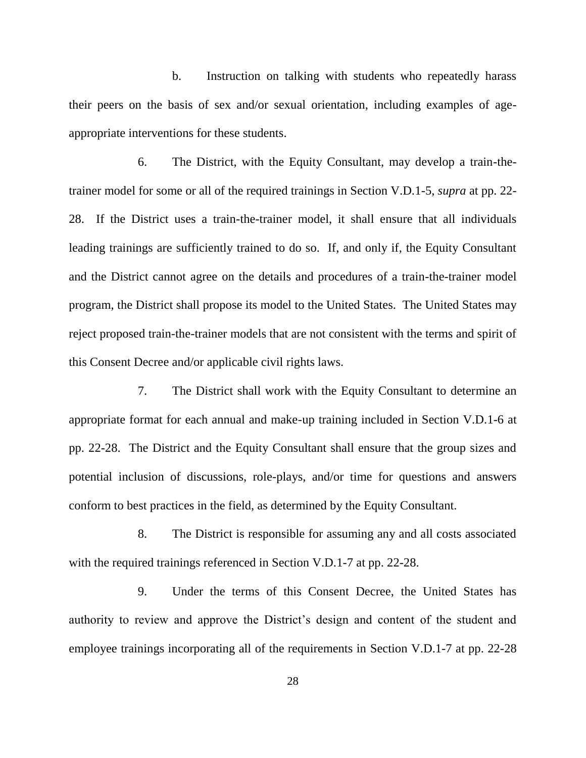b. Instruction on talking with students who repeatedly harass their peers on the basis of sex and/or sexual orientation, including examples of ageappropriate interventions for these students.

6. The District, with the Equity Consultant, may develop a train-thetrainer model for some or all of the required trainings in Section V.D.1-5, *supra* at pp. 22- 28. If the District uses a train-the-trainer model, it shall ensure that all individuals leading trainings are sufficiently trained to do so. If, and only if, the Equity Consultant and the District cannot agree on the details and procedures of a train-the-trainer model program, the District shall propose its model to the United States. The United States may reject proposed train-the-trainer models that are not consistent with the terms and spirit of this Consent Decree and/or applicable civil rights laws.

7. The District shall work with the Equity Consultant to determine an appropriate format for each annual and make-up training included in Section V.D.1-6 at pp. 22-28. The District and the Equity Consultant shall ensure that the group sizes and potential inclusion of discussions, role-plays, and/or time for questions and answers conform to best practices in the field, as determined by the Equity Consultant.

8. The District is responsible for assuming any and all costs associated with the required trainings referenced in Section V.D.1-7 at pp. 22-28.

9. Under the terms of this Consent Decree, the United States has authority to review and approve the District's design and content of the student and employee trainings incorporating all of the requirements in Section V.D.1-7 at pp. 22-28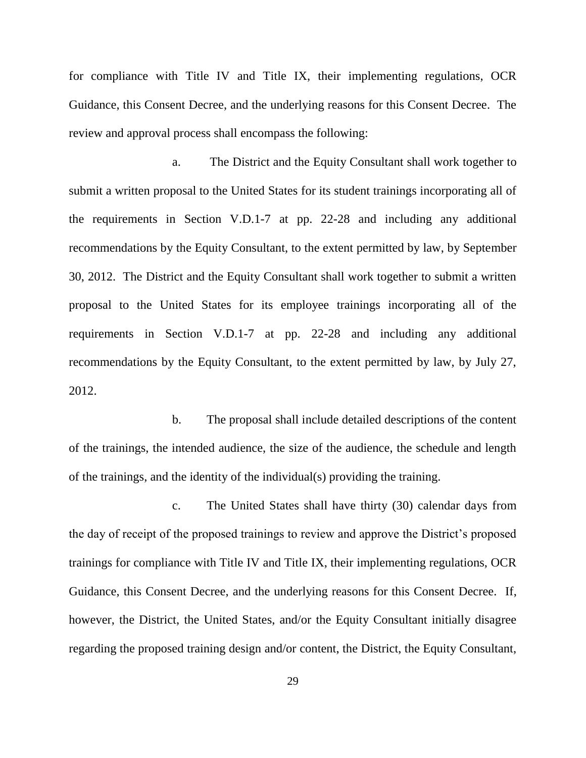for compliance with Title IV and Title IX, their implementing regulations, OCR Guidance, this Consent Decree, and the underlying reasons for this Consent Decree. The review and approval process shall encompass the following:

a. The District and the Equity Consultant shall work together to submit a written proposal to the United States for its student trainings incorporating all of the requirements in Section V.D.1-7 at pp. 22-28 and including any additional recommendations by the Equity Consultant, to the extent permitted by law, by September 30, 2012. The District and the Equity Consultant shall work together to submit a written proposal to the United States for its employee trainings incorporating all of the requirements in Section V.D.1-7 at pp. 22-28 and including any additional recommendations by the Equity Consultant, to the extent permitted by law, by July 27, 2012.

b. The proposal shall include detailed descriptions of the content of the trainings, the intended audience, the size of the audience, the schedule and length of the trainings, and the identity of the individual(s) providing the training.

c. The United States shall have thirty (30) calendar days from the day of receipt of the proposed trainings to review and approve the District's proposed trainings for compliance with Title IV and Title IX, their implementing regulations, OCR Guidance, this Consent Decree, and the underlying reasons for this Consent Decree. If, however, the District, the United States, and/or the Equity Consultant initially disagree regarding the proposed training design and/or content, the District, the Equity Consultant,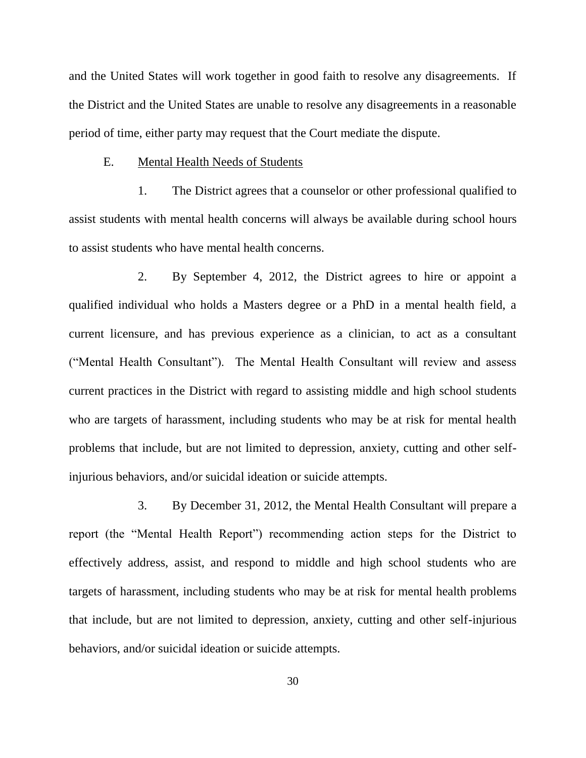and the United States will work together in good faith to resolve any disagreements. If the District and the United States are unable to resolve any disagreements in a reasonable period of time, either party may request that the Court mediate the dispute.

#### E. Mental Health Needs of Students

1. The District agrees that a counselor or other professional qualified to assist students with mental health concerns will always be available during school hours to assist students who have mental health concerns.

2. By September 4, 2012, the District agrees to hire or appoint a qualified individual who holds a Masters degree or a PhD in a mental health field, a current licensure, and has previous experience as a clinician, to act as a consultant ("Mental Health Consultant"). The Mental Health Consultant will review and assess current practices in the District with regard to assisting middle and high school students who are targets of harassment, including students who may be at risk for mental health problems that include, but are not limited to depression, anxiety, cutting and other selfinjurious behaviors, and/or suicidal ideation or suicide attempts.

3. By December 31, 2012, the Mental Health Consultant will prepare a report (the "Mental Health Report") recommending action steps for the District to effectively address, assist, and respond to middle and high school students who are targets of harassment, including students who may be at risk for mental health problems that include, but are not limited to depression, anxiety, cutting and other self-injurious behaviors, and/or suicidal ideation or suicide attempts.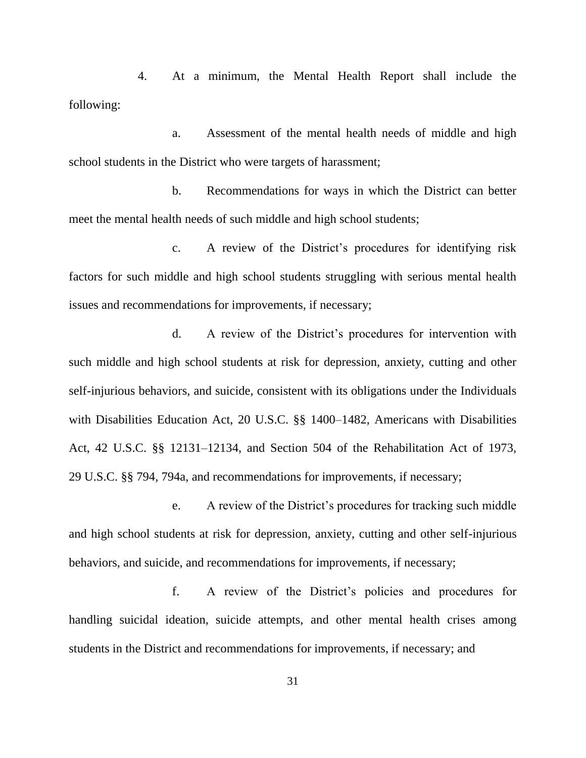4. At a minimum, the Mental Health Report shall include the following:

a. Assessment of the mental health needs of middle and high school students in the District who were targets of harassment;

b. Recommendations for ways in which the District can better meet the mental health needs of such middle and high school students;

c. A review of the District's procedures for identifying risk factors for such middle and high school students struggling with serious mental health issues and recommendations for improvements, if necessary;

d. A review of the District's procedures for intervention with such middle and high school students at risk for depression, anxiety, cutting and other self-injurious behaviors, and suicide, consistent with its obligations under the Individuals with Disabilities Education Act, 20 U.S.C. §§ 1400–1482, Americans with Disabilities Act, 42 U.S.C. §§ 12131–12134, and Section 504 of the Rehabilitation Act of 1973, 29 U.S.C. §§ 794, 794a, and recommendations for improvements, if necessary;

e. A review of the District's procedures for tracking such middle and high school students at risk for depression, anxiety, cutting and other self-injurious behaviors, and suicide, and recommendations for improvements, if necessary;

f. A review of the District's policies and procedures for handling suicidal ideation, suicide attempts, and other mental health crises among students in the District and recommendations for improvements, if necessary; and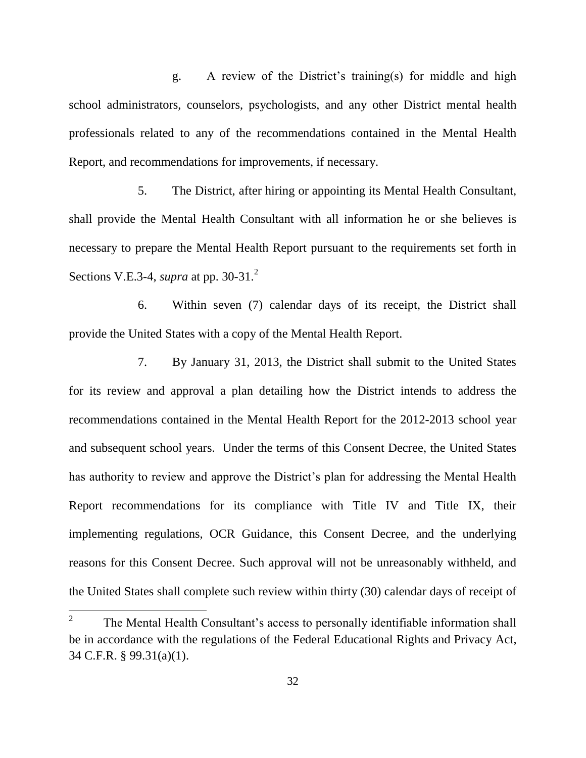g. A review of the District's training(s) for middle and high school administrators, counselors, psychologists, and any other District mental health professionals related to any of the recommendations contained in the Mental Health Report, and recommendations for improvements, if necessary.

5. The District, after hiring or appointing its Mental Health Consultant, shall provide the Mental Health Consultant with all information he or she believes is necessary to prepare the Mental Health Report pursuant to the requirements set forth in Sections V.E.3-4, *supra* at pp. 30-31. 2

6. Within seven (7) calendar days of its receipt, the District shall provide the United States with a copy of the Mental Health Report.

7. By January 31, 2013, the District shall submit to the United States for its review and approval a plan detailing how the District intends to address the recommendations contained in the Mental Health Report for the 2012-2013 school year and subsequent school years. Under the terms of this Consent Decree, the United States has authority to review and approve the District's plan for addressing the Mental Health Report recommendations for its compliance with Title IV and Title IX, their implementing regulations, OCR Guidance, this Consent Decree, and the underlying reasons for this Consent Decree. Such approval will not be unreasonably withheld, and the United States shall complete such review within thirty (30) calendar days of receipt of

 $\frac{1}{2}$ The Mental Health Consultant's access to personally identifiable information shall be in accordance with the regulations of the Federal Educational Rights and Privacy Act, 34 C.F.R. § 99.31(a)(1).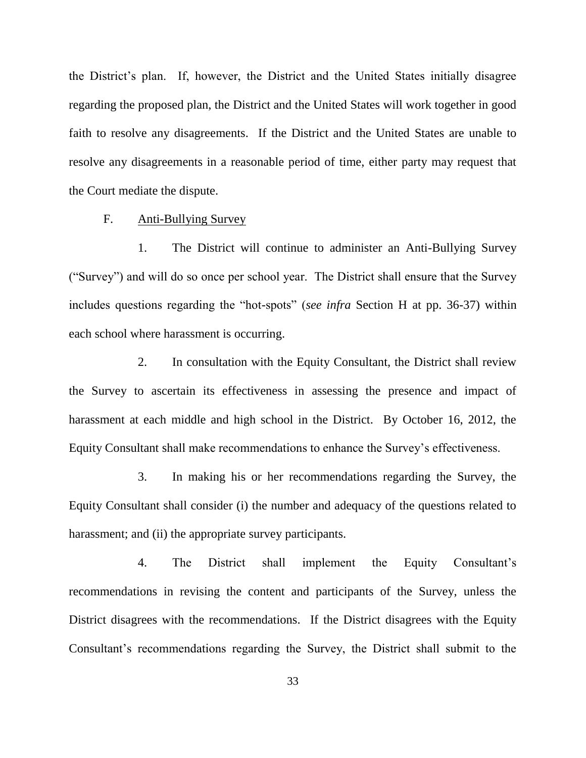the District's plan. If, however, the District and the United States initially disagree regarding the proposed plan, the District and the United States will work together in good faith to resolve any disagreements. If the District and the United States are unable to resolve any disagreements in a reasonable period of time, either party may request that the Court mediate the dispute.

F. Anti-Bullying Survey

1. The District will continue to administer an Anti-Bullying Survey (―Survey‖) and will do so once per school year. The District shall ensure that the Survey includes questions regarding the "hot-spots" (*see infra* Section H at pp. 36-37) within each school where harassment is occurring.

2. In consultation with the Equity Consultant, the District shall review the Survey to ascertain its effectiveness in assessing the presence and impact of harassment at each middle and high school in the District. By October 16, 2012, the Equity Consultant shall make recommendations to enhance the Survey's effectiveness.

3. In making his or her recommendations regarding the Survey, the Equity Consultant shall consider (i) the number and adequacy of the questions related to harassment; and (ii) the appropriate survey participants.

4. The District shall implement the Equity Consultant's recommendations in revising the content and participants of the Survey, unless the District disagrees with the recommendations. If the District disagrees with the Equity Consultant's recommendations regarding the Survey, the District shall submit to the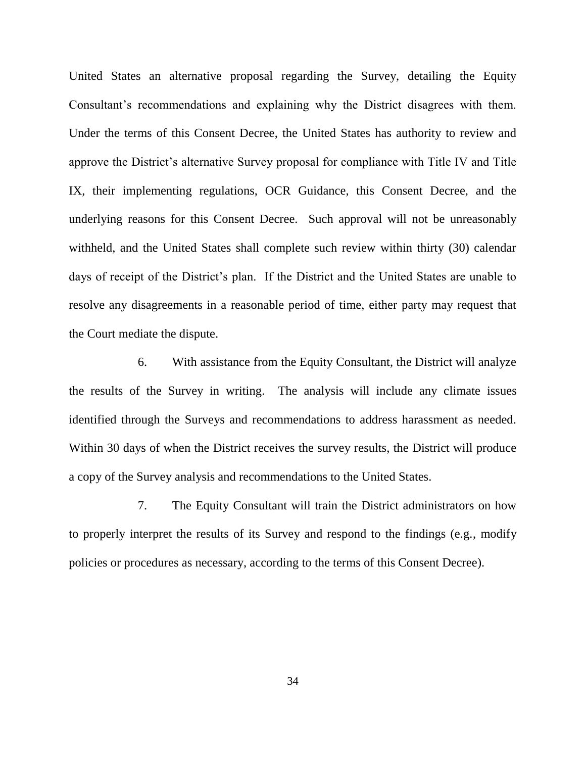United States an alternative proposal regarding the Survey, detailing the Equity Consultant's recommendations and explaining why the District disagrees with them. Under the terms of this Consent Decree, the United States has authority to review and approve the District's alternative Survey proposal for compliance with Title IV and Title IX, their implementing regulations, OCR Guidance, this Consent Decree, and the underlying reasons for this Consent Decree. Such approval will not be unreasonably withheld, and the United States shall complete such review within thirty (30) calendar days of receipt of the District's plan. If the District and the United States are unable to resolve any disagreements in a reasonable period of time, either party may request that the Court mediate the dispute.

6. With assistance from the Equity Consultant, the District will analyze the results of the Survey in writing. The analysis will include any climate issues identified through the Surveys and recommendations to address harassment as needed. Within 30 days of when the District receives the survey results, the District will produce a copy of the Survey analysis and recommendations to the United States.

7. The Equity Consultant will train the District administrators on how to properly interpret the results of its Survey and respond to the findings (e.g*.*, modify policies or procedures as necessary, according to the terms of this Consent Decree).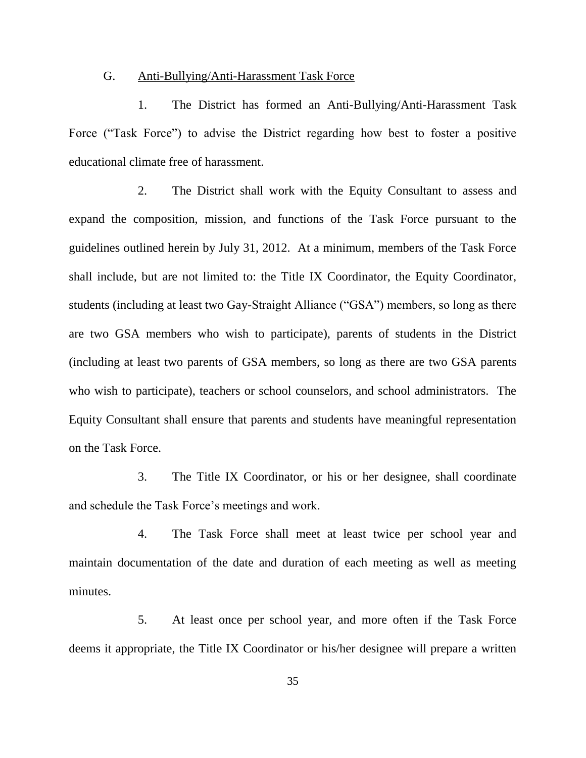#### G. Anti-Bullying/Anti-Harassment Task Force

1. The District has formed an Anti-Bullying/Anti-Harassment Task Force ("Task Force") to advise the District regarding how best to foster a positive educational climate free of harassment.

2. The District shall work with the Equity Consultant to assess and expand the composition, mission, and functions of the Task Force pursuant to the guidelines outlined herein by July 31, 2012. At a minimum, members of the Task Force shall include, but are not limited to: the Title IX Coordinator, the Equity Coordinator, students (including at least two Gay-Straight Alliance ("GSA") members, so long as there are two GSA members who wish to participate), parents of students in the District (including at least two parents of GSA members, so long as there are two GSA parents who wish to participate), teachers or school counselors, and school administrators. The Equity Consultant shall ensure that parents and students have meaningful representation on the Task Force.

3. The Title IX Coordinator, or his or her designee, shall coordinate and schedule the Task Force's meetings and work.

4. The Task Force shall meet at least twice per school year and maintain documentation of the date and duration of each meeting as well as meeting minutes.

5. At least once per school year, and more often if the Task Force deems it appropriate, the Title IX Coordinator or his/her designee will prepare a written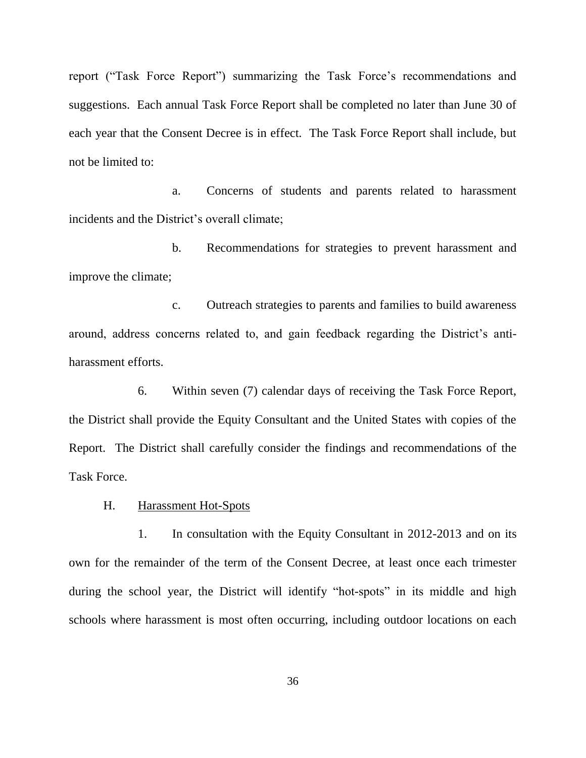report ("Task Force Report") summarizing the Task Force's recommendations and suggestions. Each annual Task Force Report shall be completed no later than June 30 of each year that the Consent Decree is in effect. The Task Force Report shall include, but not be limited to:

a. Concerns of students and parents related to harassment incidents and the District's overall climate;

b. Recommendations for strategies to prevent harassment and improve the climate;

c. Outreach strategies to parents and families to build awareness around, address concerns related to, and gain feedback regarding the District's antiharassment efforts.

6. Within seven (7) calendar days of receiving the Task Force Report, the District shall provide the Equity Consultant and the United States with copies of the Report. The District shall carefully consider the findings and recommendations of the Task Force.

H. Harassment Hot-Spots

1. In consultation with the Equity Consultant in 2012-2013 and on its own for the remainder of the term of the Consent Decree, at least once each trimester during the school year, the District will identify "hot-spots" in its middle and high schools where harassment is most often occurring, including outdoor locations on each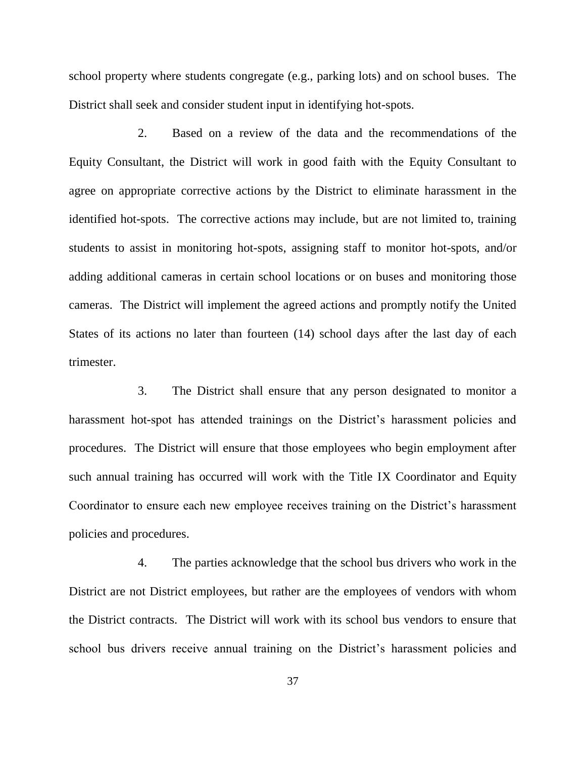school property where students congregate (e.g., parking lots) and on school buses. The District shall seek and consider student input in identifying hot-spots.

2. Based on a review of the data and the recommendations of the Equity Consultant, the District will work in good faith with the Equity Consultant to agree on appropriate corrective actions by the District to eliminate harassment in the identified hot-spots. The corrective actions may include, but are not limited to, training students to assist in monitoring hot-spots, assigning staff to monitor hot-spots, and/or adding additional cameras in certain school locations or on buses and monitoring those cameras. The District will implement the agreed actions and promptly notify the United States of its actions no later than fourteen (14) school days after the last day of each trimester.

3. The District shall ensure that any person designated to monitor a harassment hot-spot has attended trainings on the District's harassment policies and procedures. The District will ensure that those employees who begin employment after such annual training has occurred will work with the Title IX Coordinator and Equity Coordinator to ensure each new employee receives training on the District's harassment policies and procedures.

4. The parties acknowledge that the school bus drivers who work in the District are not District employees, but rather are the employees of vendors with whom the District contracts. The District will work with its school bus vendors to ensure that school bus drivers receive annual training on the District's harassment policies and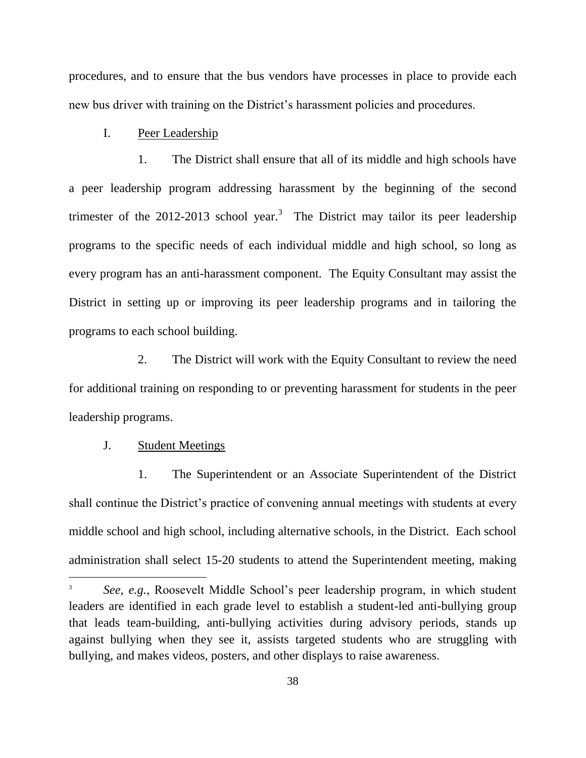procedures, and to ensure that the bus vendors have processes in place to provide each new bus driver with training on the District's harassment policies and procedures.

## I. Peer Leadership

1. The District shall ensure that all of its middle and high schools have a peer leadership program addressing harassment by the beginning of the second trimester of the 2012-2013 school year.<sup>3</sup> The District may tailor its peer leadership programs to the specific needs of each individual middle and high school, so long as every program has an anti-harassment component. The Equity Consultant may assist the District in setting up or improving its peer leadership programs and in tailoring the programs to each school building.

2. The District will work with the Equity Consultant to review the need for additional training on responding to or preventing harassment for students in the peer leadership programs.

## J. Student Meetings

 $\overline{\phantom{a}}$ 

1. The Superintendent or an Associate Superintendent of the District shall continue the District's practice of convening annual meetings with students at every middle school and high school, including alternative schools, in the District. Each school administration shall select 15-20 students to attend the Superintendent meeting, making

<sup>3</sup> *See, e.g.*, Roosevelt Middle School's peer leadership program, in which student leaders are identified in each grade level to establish a student-led anti-bullying group that leads team-building, anti-bullying activities during advisory periods, stands up against bullying when they see it, assists targeted students who are struggling with bullying, and makes videos, posters, and other displays to raise awareness.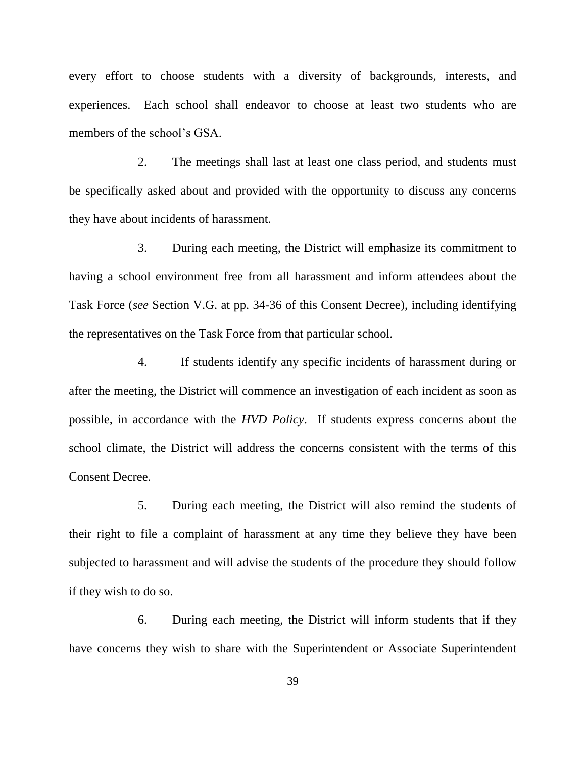every effort to choose students with a diversity of backgrounds, interests, and experiences. Each school shall endeavor to choose at least two students who are members of the school's GSA.

2. The meetings shall last at least one class period, and students must be specifically asked about and provided with the opportunity to discuss any concerns they have about incidents of harassment.

3. During each meeting, the District will emphasize its commitment to having a school environment free from all harassment and inform attendees about the Task Force (*see* Section V.G. at pp. 34-36 of this Consent Decree), including identifying the representatives on the Task Force from that particular school.

4. If students identify any specific incidents of harassment during or after the meeting, the District will commence an investigation of each incident as soon as possible, in accordance with the *HVD Policy*. If students express concerns about the school climate, the District will address the concerns consistent with the terms of this Consent Decree.

5. During each meeting, the District will also remind the students of their right to file a complaint of harassment at any time they believe they have been subjected to harassment and will advise the students of the procedure they should follow if they wish to do so.

6. During each meeting, the District will inform students that if they have concerns they wish to share with the Superintendent or Associate Superintendent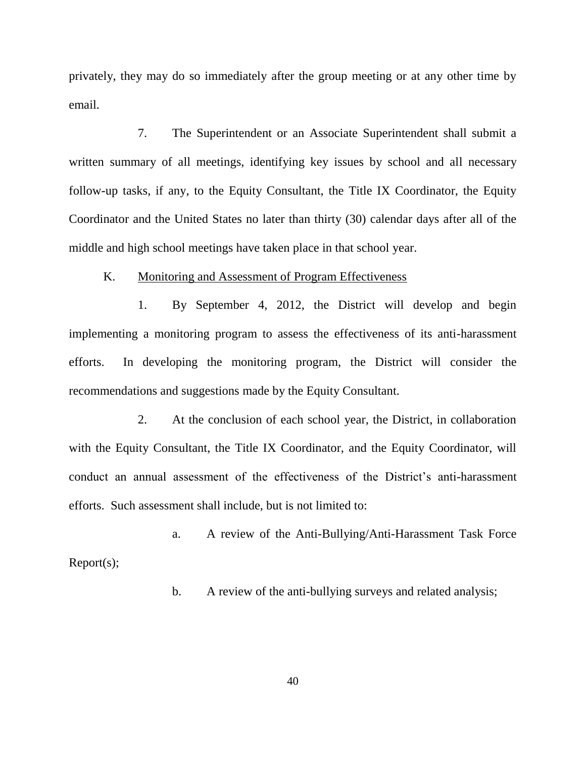privately, they may do so immediately after the group meeting or at any other time by email.

7. The Superintendent or an Associate Superintendent shall submit a written summary of all meetings, identifying key issues by school and all necessary follow-up tasks, if any, to the Equity Consultant, the Title IX Coordinator, the Equity Coordinator and the United States no later than thirty (30) calendar days after all of the middle and high school meetings have taken place in that school year.

#### K. Monitoring and Assessment of Program Effectiveness

1. By September 4, 2012, the District will develop and begin implementing a monitoring program to assess the effectiveness of its anti-harassment efforts. In developing the monitoring program, the District will consider the recommendations and suggestions made by the Equity Consultant.

2. At the conclusion of each school year, the District, in collaboration with the Equity Consultant, the Title IX Coordinator, and the Equity Coordinator, will conduct an annual assessment of the effectiveness of the District's anti-harassment efforts. Such assessment shall include, but is not limited to:

a. A review of the Anti-Bullying/Anti-Harassment Task Force Report(s);

b. A review of the anti-bullying surveys and related analysis;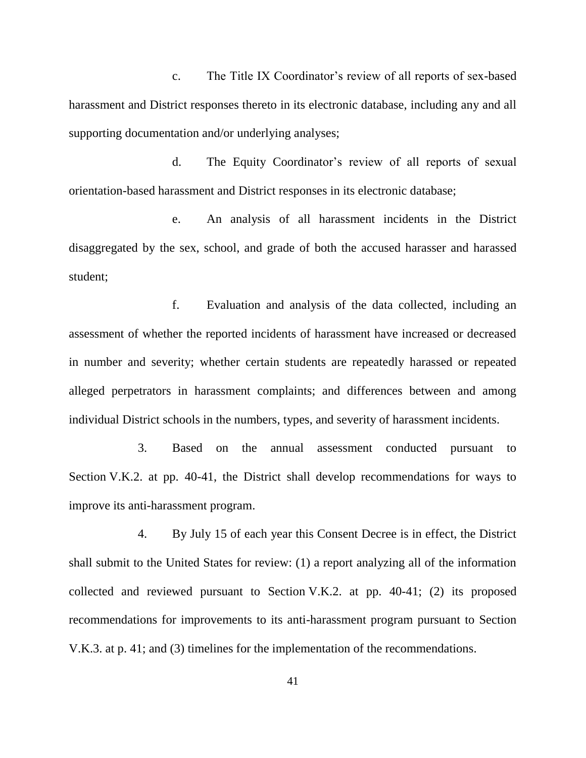c. The Title IX Coordinator's review of all reports of sex-based harassment and District responses thereto in its electronic database, including any and all supporting documentation and/or underlying analyses;

d. The Equity Coordinator's review of all reports of sexual orientation-based harassment and District responses in its electronic database;

e. An analysis of all harassment incidents in the District disaggregated by the sex, school, and grade of both the accused harasser and harassed student;

f. Evaluation and analysis of the data collected, including an assessment of whether the reported incidents of harassment have increased or decreased in number and severity; whether certain students are repeatedly harassed or repeated alleged perpetrators in harassment complaints; and differences between and among individual District schools in the numbers, types, and severity of harassment incidents.

3. Based on the annual assessment conducted pursuant to Section V.K.2. at pp. 40-41, the District shall develop recommendations for ways to improve its anti-harassment program.

4. By July 15 of each year this Consent Decree is in effect, the District shall submit to the United States for review: (1) a report analyzing all of the information collected and reviewed pursuant to Section V.K.2. at pp. 40-41; (2) its proposed recommendations for improvements to its anti-harassment program pursuant to Section V.K.3. at p. 41; and (3) timelines for the implementation of the recommendations.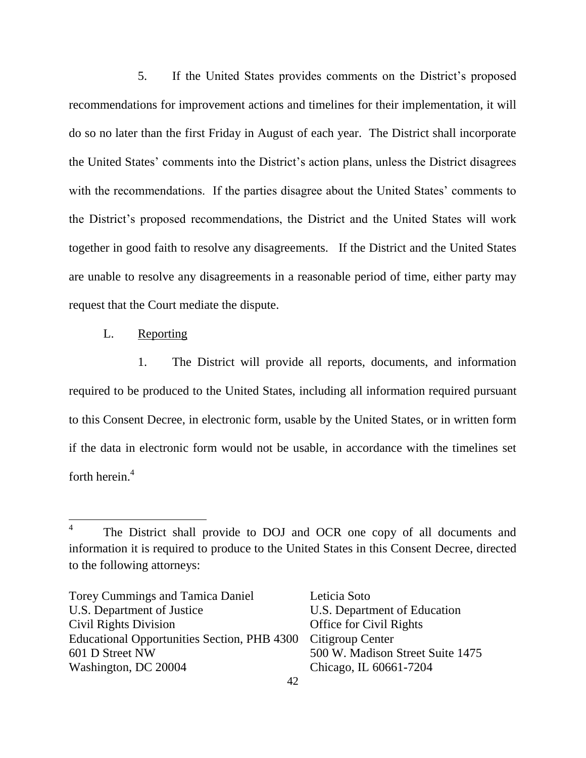5. If the United States provides comments on the District's proposed recommendations for improvement actions and timelines for their implementation, it will do so no later than the first Friday in August of each year. The District shall incorporate the United States' comments into the District's action plans, unless the District disagrees with the recommendations. If the parties disagree about the United States' comments to the District's proposed recommendations, the District and the United States will work together in good faith to resolve any disagreements. If the District and the United States are unable to resolve any disagreements in a reasonable period of time, either party may request that the Court mediate the dispute.

L. Reporting

1. The District will provide all reports, documents, and information required to be produced to the United States, including all information required pursuant to this Consent Decree, in electronic form, usable by the United States, or in written form if the data in electronic form would not be usable, in accordance with the timelines set forth herein.<sup>4</sup>

Torey Cummings and Tamica Daniel Leticia Soto U.S. Department of Justice U.S. Department of Education Civil Rights Division Office for Civil Rights Educational Opportunities Section, PHB 4300 Citigroup Center 601 D Street NW 500 W. Madison Street Suite 1475 Washington, DC 20004 Chicago, IL 60661-7204

 $\frac{1}{4}$ The District shall provide to DOJ and OCR one copy of all documents and information it is required to produce to the United States in this Consent Decree, directed to the following attorneys: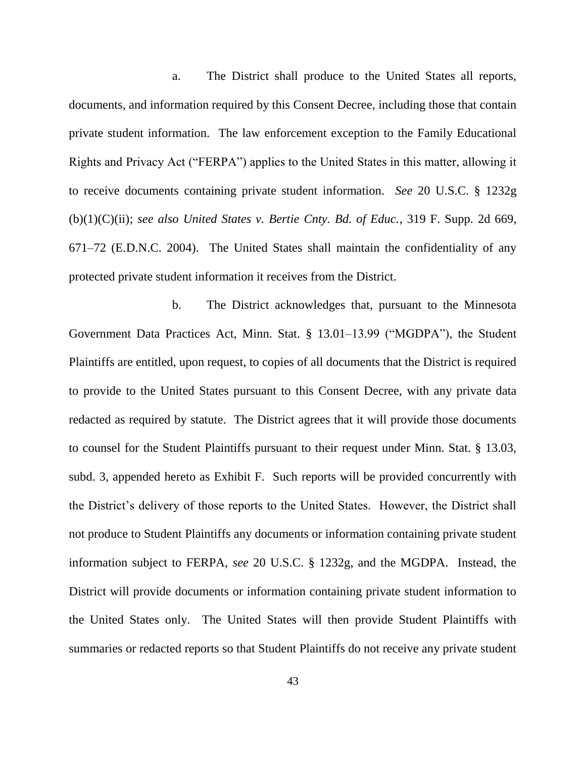a. The District shall produce to the United States all reports, documents, and information required by this Consent Decree, including those that contain private student information. The law enforcement exception to the Family Educational Rights and Privacy Act ("FERPA") applies to the United States in this matter, allowing it to receive documents containing private student information. *See* 20 U.S.C. § 1232g (b)(1)(C)(ii); *see also United States v. Bertie Cnty. Bd. of Educ.*, 319 F. Supp. 2d 669, 671–72 (E.D.N.C. 2004). The United States shall maintain the confidentiality of any protected private student information it receives from the District.

b. The District acknowledges that, pursuant to the Minnesota Government Data Practices Act, Minn. Stat.  $\S$  13.01–13.99 ("MGDPA"), the Student Plaintiffs are entitled, upon request, to copies of all documents that the District is required to provide to the United States pursuant to this Consent Decree, with any private data redacted as required by statute. The District agrees that it will provide those documents to counsel for the Student Plaintiffs pursuant to their request under Minn. Stat. § 13.03, subd. 3, appended hereto as Exhibit F. Such reports will be provided concurrently with the District's delivery of those reports to the United States. However, the District shall not produce to Student Plaintiffs any documents or information containing private student information subject to FERPA, *see* 20 U.S.C. § 1232g, and the MGDPA. Instead, the District will provide documents or information containing private student information to the United States only. The United States will then provide Student Plaintiffs with summaries or redacted reports so that Student Plaintiffs do not receive any private student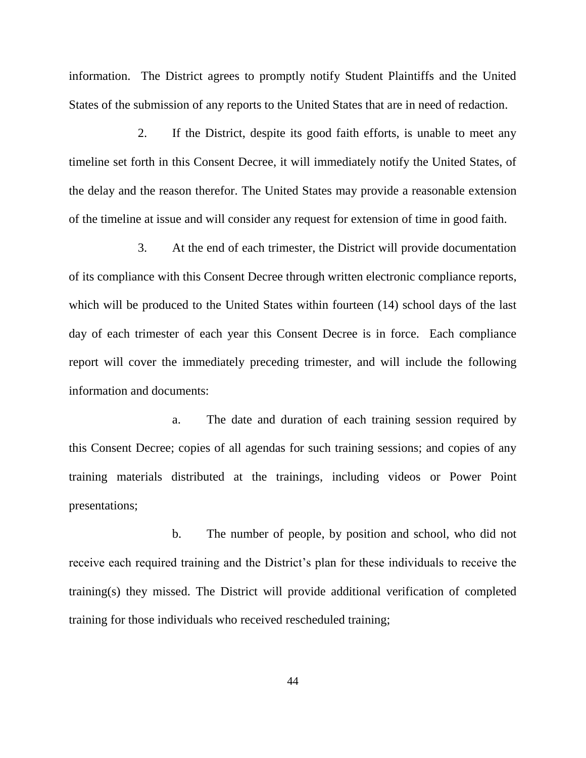information. The District agrees to promptly notify Student Plaintiffs and the United States of the submission of any reports to the United States that are in need of redaction.

2. If the District, despite its good faith efforts, is unable to meet any timeline set forth in this Consent Decree, it will immediately notify the United States, of the delay and the reason therefor. The United States may provide a reasonable extension of the timeline at issue and will consider any request for extension of time in good faith.

3. At the end of each trimester, the District will provide documentation of its compliance with this Consent Decree through written electronic compliance reports, which will be produced to the United States within fourteen (14) school days of the last day of each trimester of each year this Consent Decree is in force. Each compliance report will cover the immediately preceding trimester, and will include the following information and documents:

a. The date and duration of each training session required by this Consent Decree; copies of all agendas for such training sessions; and copies of any training materials distributed at the trainings, including videos or Power Point presentations;

b. The number of people, by position and school, who did not receive each required training and the District's plan for these individuals to receive the training(s) they missed. The District will provide additional verification of completed training for those individuals who received rescheduled training;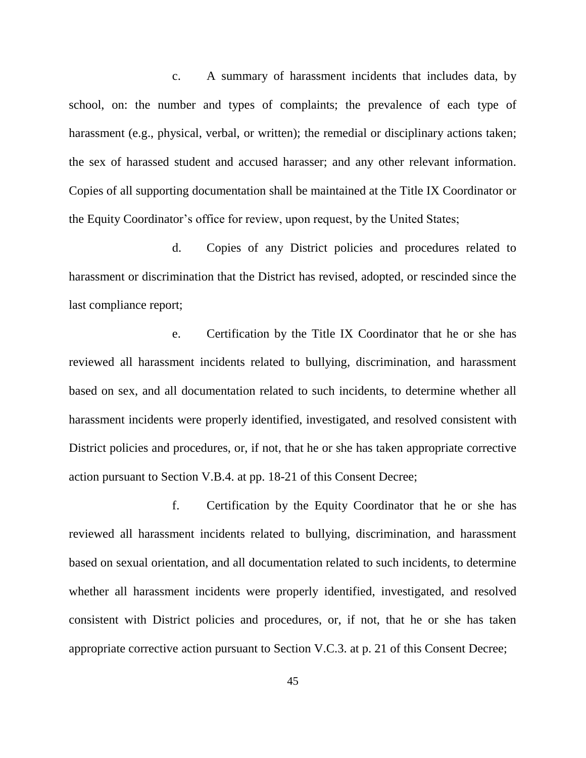c. A summary of harassment incidents that includes data, by school, on: the number and types of complaints; the prevalence of each type of harassment (e.g., physical, verbal, or written); the remedial or disciplinary actions taken; the sex of harassed student and accused harasser; and any other relevant information. Copies of all supporting documentation shall be maintained at the Title IX Coordinator or the Equity Coordinator's office for review, upon request, by the United States;

d. Copies of any District policies and procedures related to harassment or discrimination that the District has revised, adopted, or rescinded since the last compliance report;

e. Certification by the Title IX Coordinator that he or she has reviewed all harassment incidents related to bullying, discrimination, and harassment based on sex, and all documentation related to such incidents, to determine whether all harassment incidents were properly identified, investigated, and resolved consistent with District policies and procedures, or, if not, that he or she has taken appropriate corrective action pursuant to Section V.B.4. at pp. 18-21 of this Consent Decree;

f. Certification by the Equity Coordinator that he or she has reviewed all harassment incidents related to bullying, discrimination, and harassment based on sexual orientation, and all documentation related to such incidents, to determine whether all harassment incidents were properly identified, investigated, and resolved consistent with District policies and procedures, or, if not, that he or she has taken appropriate corrective action pursuant to Section V.C.3. at p. 21 of this Consent Decree;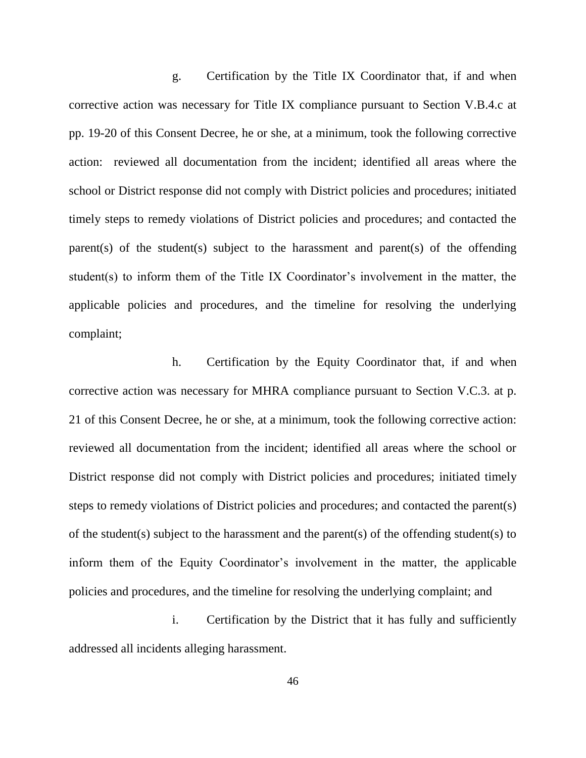g. Certification by the Title IX Coordinator that, if and when corrective action was necessary for Title IX compliance pursuant to Section V.B.4.c at pp. 19-20 of this Consent Decree, he or she, at a minimum, took the following corrective action: reviewed all documentation from the incident; identified all areas where the school or District response did not comply with District policies and procedures; initiated timely steps to remedy violations of District policies and procedures; and contacted the parent(s) of the student(s) subject to the harassment and parent(s) of the offending student(s) to inform them of the Title IX Coordinator's involvement in the matter, the applicable policies and procedures, and the timeline for resolving the underlying complaint;

h. Certification by the Equity Coordinator that, if and when corrective action was necessary for MHRA compliance pursuant to Section V.C.3. at p. 21 of this Consent Decree, he or she, at a minimum, took the following corrective action: reviewed all documentation from the incident; identified all areas where the school or District response did not comply with District policies and procedures; initiated timely steps to remedy violations of District policies and procedures; and contacted the parent(s) of the student(s) subject to the harassment and the parent(s) of the offending student(s) to inform them of the Equity Coordinator's involvement in the matter, the applicable policies and procedures, and the timeline for resolving the underlying complaint; and

i. Certification by the District that it has fully and sufficiently addressed all incidents alleging harassment.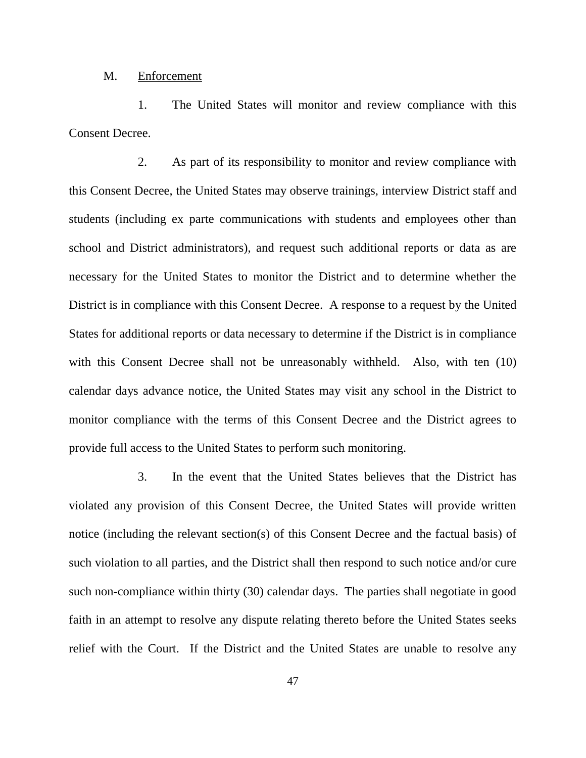#### M. Enforcement

1. The United States will monitor and review compliance with this Consent Decree.

2. As part of its responsibility to monitor and review compliance with this Consent Decree, the United States may observe trainings, interview District staff and students (including ex parte communications with students and employees other than school and District administrators), and request such additional reports or data as are necessary for the United States to monitor the District and to determine whether the District is in compliance with this Consent Decree. A response to a request by the United States for additional reports or data necessary to determine if the District is in compliance with this Consent Decree shall not be unreasonably withheld. Also, with ten (10) calendar days advance notice, the United States may visit any school in the District to monitor compliance with the terms of this Consent Decree and the District agrees to provide full access to the United States to perform such monitoring.

3. In the event that the United States believes that the District has violated any provision of this Consent Decree, the United States will provide written notice (including the relevant section(s) of this Consent Decree and the factual basis) of such violation to all parties, and the District shall then respond to such notice and/or cure such non-compliance within thirty (30) calendar days. The parties shall negotiate in good faith in an attempt to resolve any dispute relating thereto before the United States seeks relief with the Court. If the District and the United States are unable to resolve any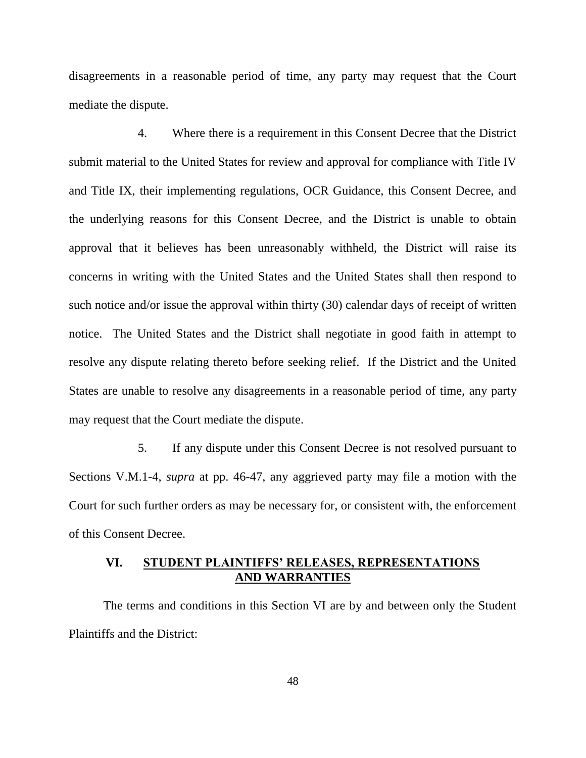disagreements in a reasonable period of time, any party may request that the Court mediate the dispute.

4. Where there is a requirement in this Consent Decree that the District submit material to the United States for review and approval for compliance with Title IV and Title IX, their implementing regulations, OCR Guidance, this Consent Decree, and the underlying reasons for this Consent Decree, and the District is unable to obtain approval that it believes has been unreasonably withheld, the District will raise its concerns in writing with the United States and the United States shall then respond to such notice and/or issue the approval within thirty (30) calendar days of receipt of written notice. The United States and the District shall negotiate in good faith in attempt to resolve any dispute relating thereto before seeking relief. If the District and the United States are unable to resolve any disagreements in a reasonable period of time, any party may request that the Court mediate the dispute.

5. If any dispute under this Consent Decree is not resolved pursuant to Sections V.M.1-4, *supra* at pp. 46-47, any aggrieved party may file a motion with the Court for such further orders as may be necessary for, or consistent with, the enforcement of this Consent Decree.

## **VI. STUDENT PLAINTIFFS' RELEASES, REPRESENTATIONS AND WARRANTIES**

The terms and conditions in this Section VI are by and between only the Student Plaintiffs and the District: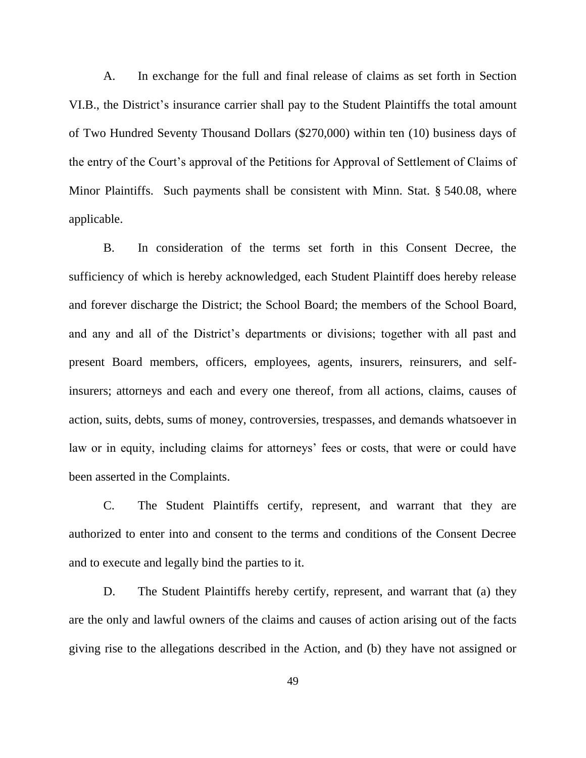A. In exchange for the full and final release of claims as set forth in Section VI.B., the District's insurance carrier shall pay to the Student Plaintiffs the total amount of Two Hundred Seventy Thousand Dollars (\$270,000) within ten (10) business days of the entry of the Court's approval of the Petitions for Approval of Settlement of Claims of Minor Plaintiffs. Such payments shall be consistent with Minn. Stat. § 540.08, where applicable.

B. In consideration of the terms set forth in this Consent Decree, the sufficiency of which is hereby acknowledged, each Student Plaintiff does hereby release and forever discharge the District; the School Board; the members of the School Board, and any and all of the District's departments or divisions; together with all past and present Board members, officers, employees, agents, insurers, reinsurers, and selfinsurers; attorneys and each and every one thereof, from all actions, claims, causes of action, suits, debts, sums of money, controversies, trespasses, and demands whatsoever in law or in equity, including claims for attorneys' fees or costs, that were or could have been asserted in the Complaints.

C. The Student Plaintiffs certify, represent, and warrant that they are authorized to enter into and consent to the terms and conditions of the Consent Decree and to execute and legally bind the parties to it.

D. The Student Plaintiffs hereby certify, represent, and warrant that (a) they are the only and lawful owners of the claims and causes of action arising out of the facts giving rise to the allegations described in the Action, and (b) they have not assigned or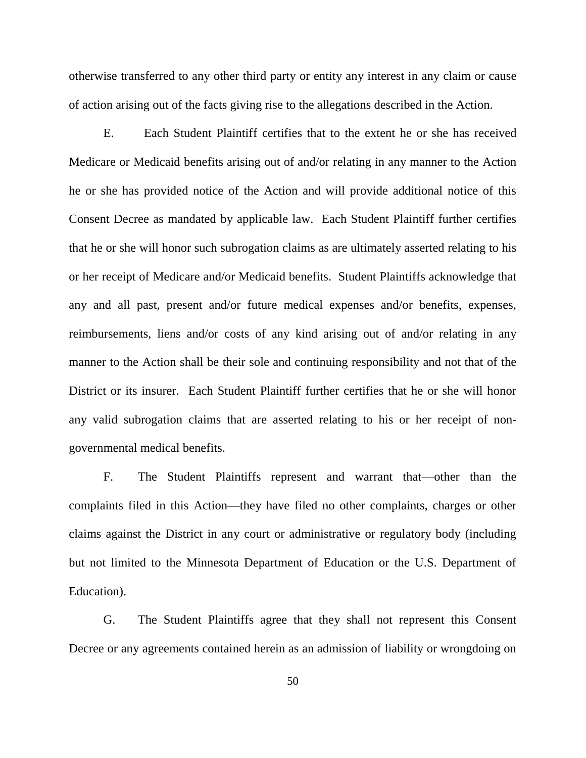otherwise transferred to any other third party or entity any interest in any claim or cause of action arising out of the facts giving rise to the allegations described in the Action.

E. Each Student Plaintiff certifies that to the extent he or she has received Medicare or Medicaid benefits arising out of and/or relating in any manner to the Action he or she has provided notice of the Action and will provide additional notice of this Consent Decree as mandated by applicable law. Each Student Plaintiff further certifies that he or she will honor such subrogation claims as are ultimately asserted relating to his or her receipt of Medicare and/or Medicaid benefits. Student Plaintiffs acknowledge that any and all past, present and/or future medical expenses and/or benefits, expenses, reimbursements, liens and/or costs of any kind arising out of and/or relating in any manner to the Action shall be their sole and continuing responsibility and not that of the District or its insurer. Each Student Plaintiff further certifies that he or she will honor any valid subrogation claims that are asserted relating to his or her receipt of nongovernmental medical benefits.

F. The Student Plaintiffs represent and warrant that—other than the complaints filed in this Action—they have filed no other complaints, charges or other claims against the District in any court or administrative or regulatory body (including but not limited to the Minnesota Department of Education or the U.S. Department of Education).

G. The Student Plaintiffs agree that they shall not represent this Consent Decree or any agreements contained herein as an admission of liability or wrongdoing on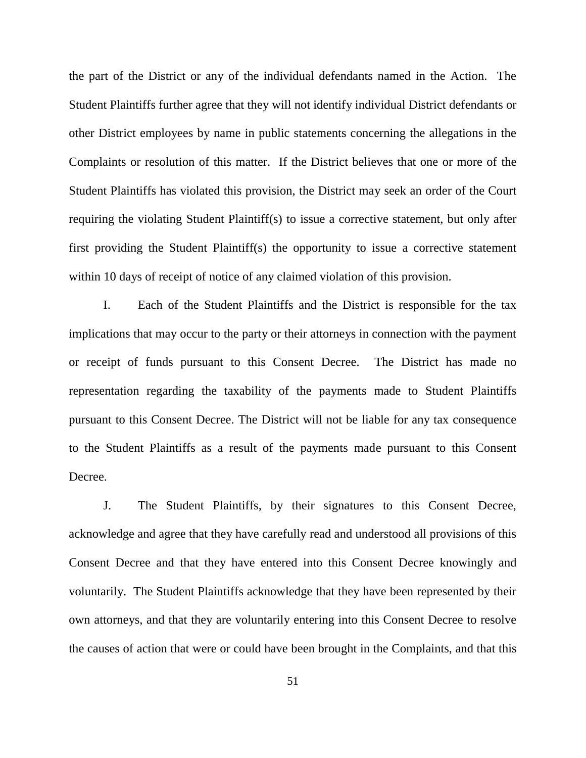the part of the District or any of the individual defendants named in the Action. The Student Plaintiffs further agree that they will not identify individual District defendants or other District employees by name in public statements concerning the allegations in the Complaints or resolution of this matter. If the District believes that one or more of the Student Plaintiffs has violated this provision, the District may seek an order of the Court requiring the violating Student Plaintiff(s) to issue a corrective statement, but only after first providing the Student Plaintiff(s) the opportunity to issue a corrective statement within 10 days of receipt of notice of any claimed violation of this provision.

I. Each of the Student Plaintiffs and the District is responsible for the tax implications that may occur to the party or their attorneys in connection with the payment or receipt of funds pursuant to this Consent Decree. The District has made no representation regarding the taxability of the payments made to Student Plaintiffs pursuant to this Consent Decree. The District will not be liable for any tax consequence to the Student Plaintiffs as a result of the payments made pursuant to this Consent Decree.

J. The Student Plaintiffs, by their signatures to this Consent Decree, acknowledge and agree that they have carefully read and understood all provisions of this Consent Decree and that they have entered into this Consent Decree knowingly and voluntarily. The Student Plaintiffs acknowledge that they have been represented by their own attorneys, and that they are voluntarily entering into this Consent Decree to resolve the causes of action that were or could have been brought in the Complaints, and that this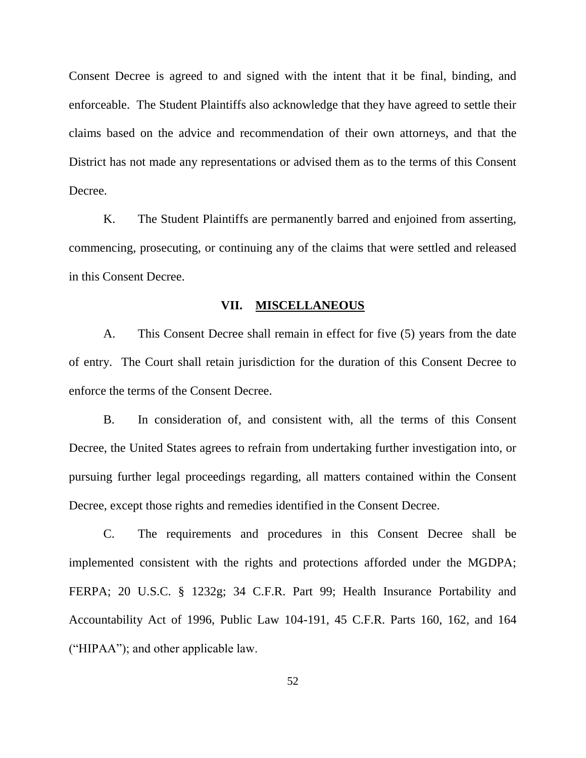Consent Decree is agreed to and signed with the intent that it be final, binding, and enforceable. The Student Plaintiffs also acknowledge that they have agreed to settle their claims based on the advice and recommendation of their own attorneys, and that the District has not made any representations or advised them as to the terms of this Consent Decree.

K. The Student Plaintiffs are permanently barred and enjoined from asserting, commencing, prosecuting, or continuing any of the claims that were settled and released in this Consent Decree.

### **VII. MISCELLANEOUS**

A. This Consent Decree shall remain in effect for five (5) years from the date of entry. The Court shall retain jurisdiction for the duration of this Consent Decree to enforce the terms of the Consent Decree.

B. In consideration of, and consistent with, all the terms of this Consent Decree, the United States agrees to refrain from undertaking further investigation into, or pursuing further legal proceedings regarding, all matters contained within the Consent Decree, except those rights and remedies identified in the Consent Decree.

C. The requirements and procedures in this Consent Decree shall be implemented consistent with the rights and protections afforded under the MGDPA; FERPA; 20 U.S.C. § 1232g; 34 C.F.R. Part 99; Health Insurance Portability and Accountability Act of 1996, Public Law 104-191, 45 C.F.R. Parts 160, 162, and 164  $("HIPAA")$ ; and other applicable law.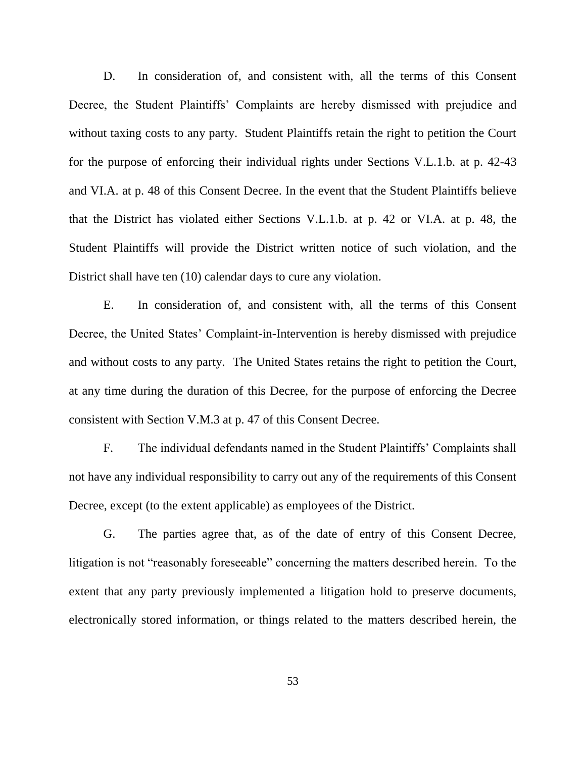D. In consideration of, and consistent with, all the terms of this Consent Decree, the Student Plaintiffs' Complaints are hereby dismissed with prejudice and without taxing costs to any party. Student Plaintiffs retain the right to petition the Court for the purpose of enforcing their individual rights under Sections V.L.1.b. at p. 42-43 and VI.A. at p. 48 of this Consent Decree. In the event that the Student Plaintiffs believe that the District has violated either Sections V.L.1.b. at p. 42 or VI.A. at p. 48, the Student Plaintiffs will provide the District written notice of such violation, and the District shall have ten (10) calendar days to cure any violation.

E. In consideration of, and consistent with, all the terms of this Consent Decree, the United States' Complaint-in-Intervention is hereby dismissed with prejudice and without costs to any party. The United States retains the right to petition the Court, at any time during the duration of this Decree, for the purpose of enforcing the Decree consistent with Section V.M.3 at p. 47 of this Consent Decree.

F. The individual defendants named in the Student Plaintiffs' Complaints shall not have any individual responsibility to carry out any of the requirements of this Consent Decree, except (to the extent applicable) as employees of the District.

G. The parties agree that, as of the date of entry of this Consent Decree, litigation is not "reasonably foreseeable" concerning the matters described herein. To the extent that any party previously implemented a litigation hold to preserve documents, electronically stored information, or things related to the matters described herein, the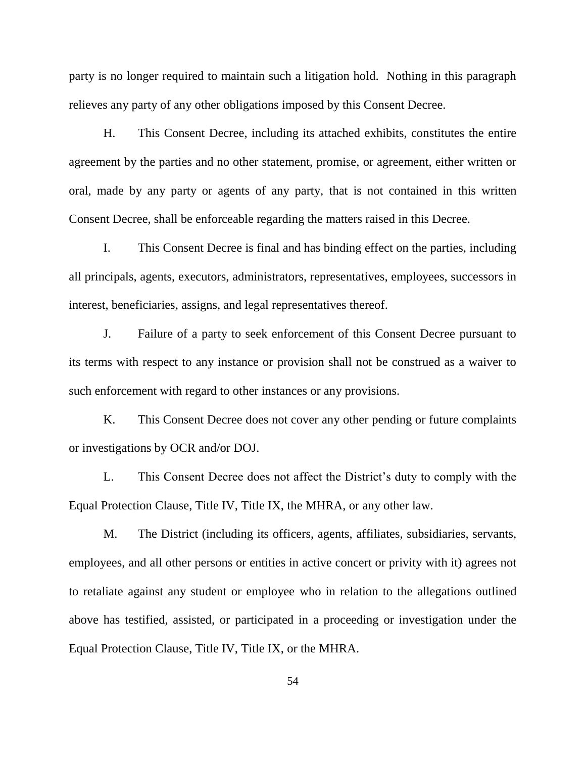party is no longer required to maintain such a litigation hold. Nothing in this paragraph relieves any party of any other obligations imposed by this Consent Decree.

H. This Consent Decree, including its attached exhibits, constitutes the entire agreement by the parties and no other statement, promise, or agreement, either written or oral, made by any party or agents of any party, that is not contained in this written Consent Decree, shall be enforceable regarding the matters raised in this Decree.

I. This Consent Decree is final and has binding effect on the parties, including all principals, agents, executors, administrators, representatives, employees, successors in interest, beneficiaries, assigns, and legal representatives thereof.

J. Failure of a party to seek enforcement of this Consent Decree pursuant to its terms with respect to any instance or provision shall not be construed as a waiver to such enforcement with regard to other instances or any provisions.

K. This Consent Decree does not cover any other pending or future complaints or investigations by OCR and/or DOJ.

L. This Consent Decree does not affect the District's duty to comply with the Equal Protection Clause, Title IV, Title IX, the MHRA, or any other law.

M. The District (including its officers, agents, affiliates, subsidiaries, servants, employees, and all other persons or entities in active concert or privity with it) agrees not to retaliate against any student or employee who in relation to the allegations outlined above has testified, assisted, or participated in a proceeding or investigation under the Equal Protection Clause, Title IV, Title IX, or the MHRA.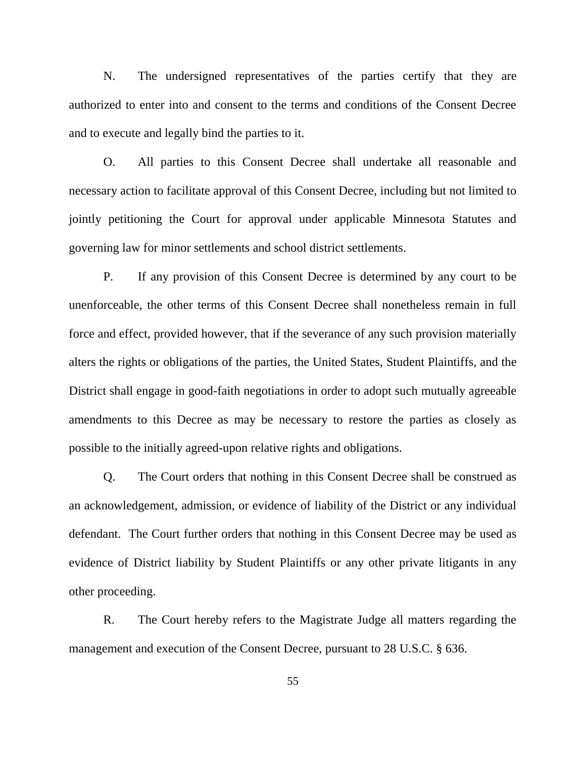N. The undersigned representatives of the parties certify that they are authorized to enter into and consent to the terms and conditions of the Consent Decree and to execute and legally bind the parties to it.

O. All parties to this Consent Decree shall undertake all reasonable and necessary action to facilitate approval of this Consent Decree, including but not limited to jointly petitioning the Court for approval under applicable Minnesota Statutes and governing law for minor settlements and school district settlements.

P. If any provision of this Consent Decree is determined by any court to be unenforceable, the other terms of this Consent Decree shall nonetheless remain in full force and effect, provided however, that if the severance of any such provision materially alters the rights or obligations of the parties, the United States, Student Plaintiffs, and the District shall engage in good-faith negotiations in order to adopt such mutually agreeable amendments to this Decree as may be necessary to restore the parties as closely as possible to the initially agreed-upon relative rights and obligations.

Q. The Court orders that nothing in this Consent Decree shall be construed as an acknowledgement, admission, or evidence of liability of the District or any individual defendant. The Court further orders that nothing in this Consent Decree may be used as evidence of District liability by Student Plaintiffs or any other private litigants in any other proceeding.

R. The Court hereby refers to the Magistrate Judge all matters regarding the management and execution of the Consent Decree, pursuant to 28 U.S.C. § 636.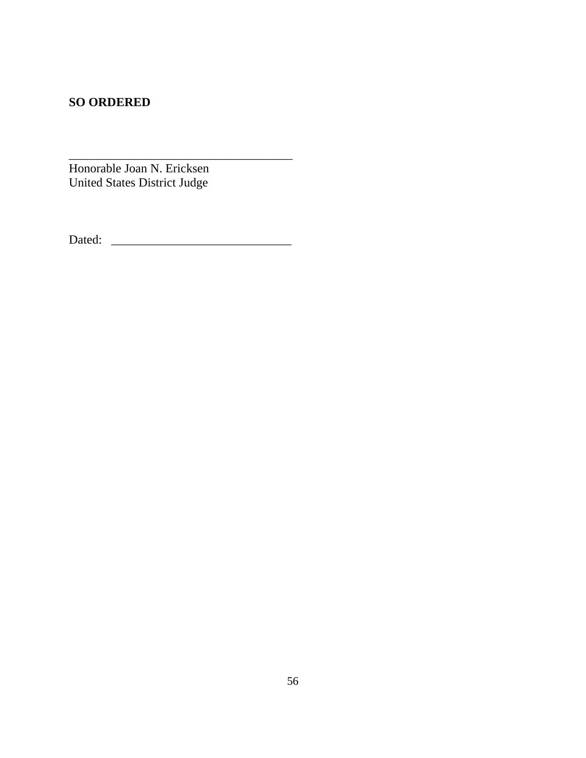# **SO ORDERED**

Honorable Joan N. Ericksen United States District Judge

Dated: \_\_\_\_\_\_\_\_\_\_\_\_\_\_\_\_\_\_\_\_\_\_\_\_\_\_\_\_\_

\_\_\_\_\_\_\_\_\_\_\_\_\_\_\_\_\_\_\_\_\_\_\_\_\_\_\_\_\_\_\_\_\_\_\_\_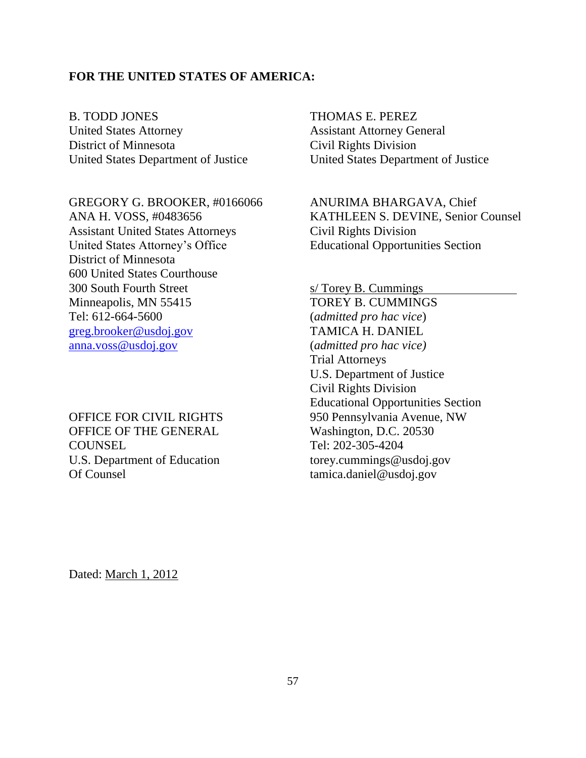### **FOR THE UNITED STATES OF AMERICA:**

B. TODD JONES United States Attorney District of Minnesota United States Department of Justice

GREGORY G. BROOKER, #0166066 ANA H. VOSS, #0483656 Assistant United States Attorneys United States Attorney's Office District of Minnesota 600 United States Courthouse 300 South Fourth Street Minneapolis, MN 55415 Tel: 612-664-5600 [greg.brooker@usdoj.gov](mailto:greg.brooker@usdoj.gov) [anna.voss@usdoj.gov](mailto:anna.voss@usdoj.gov)

OFFICE FOR CIVIL RIGHTS OFFICE OF THE GENERAL **COUNSEL** U.S. Department of Education Of Counsel

THOMAS E. PEREZ Assistant Attorney General Civil Rights Division United States Department of Justice

ANURIMA BHARGAVA, Chief KATHLEEN S. DEVINE, Senior Counsel Civil Rights Division Educational Opportunities Section

s/ Torey B. Cummings TOREY B. CUMMINGS (*admitted pro hac vice*) TAMICA H. DANIEL (*admitted pro hac vice)* Trial Attorneys U.S. Department of Justice Civil Rights Division Educational Opportunities Section 950 Pennsylvania Avenue, NW Washington, D.C. 20530 Tel: 202-305-4204 torey.cummings@usdoj.gov tamica.daniel@usdoj.gov

Dated: March 1, 2012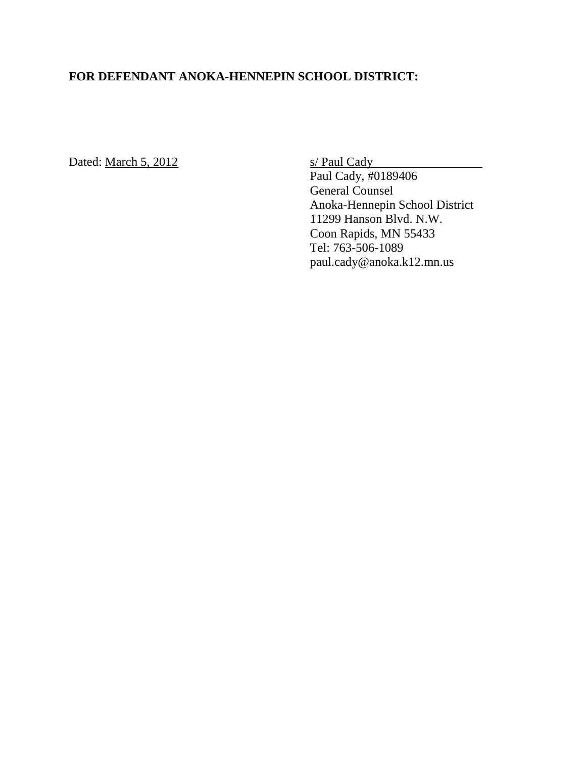# **FOR DEFENDANT ANOKA-HENNEPIN SCHOOL DISTRICT:**

Dated: March 5, 2012 s/ Paul Cady

Paul Cady, #0189406 General Counsel Anoka-Hennepin School District 11299 Hanson Blvd. N.W. Coon Rapids, MN 55433 Tel: 763-506-1089 paul.cady@anoka.k12.mn.us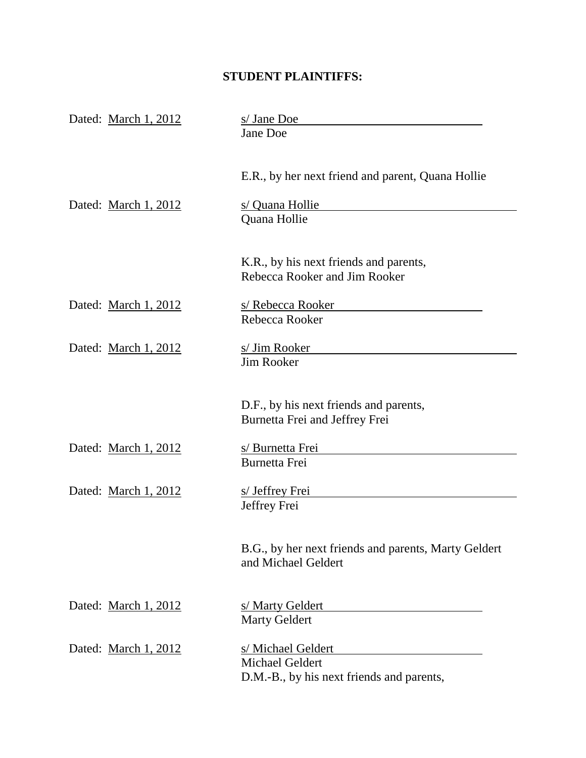# **STUDENT PLAINTIFFS:**

| Dated: March 1, 2012 | s/ Jane Doe<br>Jane Doe                                                                   |
|----------------------|-------------------------------------------------------------------------------------------|
|                      | E.R., by her next friend and parent, Quana Hollie                                         |
| Dated: March 1, 2012 | s/ Quana Hollie<br>Quana Hollie                                                           |
|                      | K.R., by his next friends and parents,<br>Rebecca Rooker and Jim Rooker                   |
| Dated: March 1, 2012 | s/ Rebecca Rooker<br>Rebecca Rooker                                                       |
| Dated: March 1, 2012 | s/ Jim Rooker<br><b>Jim Rooker</b>                                                        |
|                      | D.F., by his next friends and parents,<br>Burnetta Frei and Jeffrey Frei                  |
| Dated: March 1, 2012 | s/ Burnetta Frei<br>Burnetta Frei                                                         |
| Dated: March 1, 2012 | s/ Jeffrey Frei<br>Jeffrey Frei                                                           |
|                      | B.G., by her next friends and parents, Marty Geldert<br>and Michael Geldert               |
| Dated: March 1, 2012 | s/ Marty Geldert<br><b>Marty Geldert</b>                                                  |
| Dated: March 1, 2012 | s/ Michael Geldert<br><b>Michael Geldert</b><br>D.M.-B., by his next friends and parents, |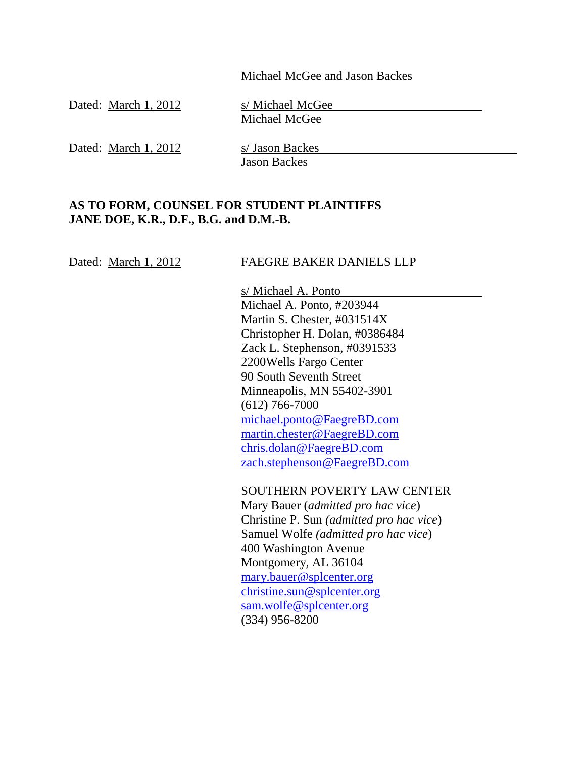Michael McGee and Jason Backes

| Dated: March 1, 2012 | s/ Michael McGee<br>Michael McGee      |
|----------------------|----------------------------------------|
| Dated: March 1, 2012 | s/ Jason Backes<br><b>Jason Backes</b> |

# **AS TO FORM, COUNSEL FOR STUDENT PLAINTIFFS JANE DOE, K.R., D.F., B.G. and D.M.-B.**

| Dated: March 1, 2012 | <b>FAEGRE BAKER DANIELS LLP</b>                                                  |
|----------------------|----------------------------------------------------------------------------------|
|                      | s/ Michael A. Ponto                                                              |
|                      | Michael A. Ponto, #203944                                                        |
|                      | Martin S. Chester, #031514X                                                      |
|                      | Christopher H. Dolan, #0386484                                                   |
|                      | Zack L. Stephenson, #0391533                                                     |
|                      | 2200 Wells Fargo Center                                                          |
|                      | 90 South Seventh Street                                                          |
|                      | Minneapolis, MN 55402-3901                                                       |
|                      | $(612)$ 766-7000                                                                 |
|                      | michael.ponto@FaegreBD.com                                                       |
|                      | martin.chester@FaegreBD.com                                                      |
|                      | chris.dolan@FaegreBD.com                                                         |
|                      | zach.stephenson@FaegreBD.com                                                     |
|                      | <b>SOUTHERN POVERTY LAW CENTER</b>                                               |
|                      | Mary Bauer ( <i>admitted pro hac vice</i> )                                      |
|                      | Christine P. Sun (admitted pro hac vice)                                         |
|                      | $S_{\text{emul}}$ $W_{\text{ol}}$ $\epsilon_{\text{ol}}$ (admitted nua hae view) |

Samuel Wolfe *(admitted pro hac vice*) 400 Washington Avenue Montgomery, AL 36104 [mary.bauer@splcenter.org](mailto:mary.bauer@splcenter.org) [christine.sun@splcenter.org](mailto:christine.sun@splcenter.org) [sam.wolfe@splcenter.org](mailto:sam.wolfe@splcenter.org) (334) 956-8200